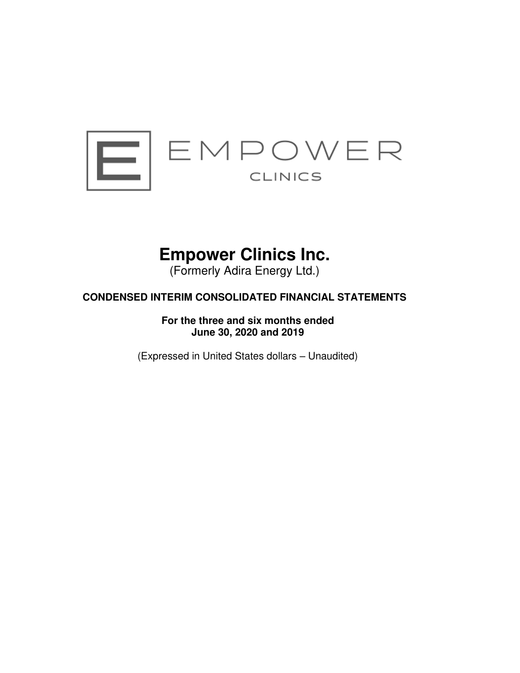

# **Empower Clinics Inc.**

(Formerly Adira Energy Ltd.)

# **CONDENSED INTERIM CONSOLIDATED FINANCIAL STATEMENTS**

**For the three and six months ended June 30, 2020 and 2019** 

(Expressed in United States dollars – Unaudited)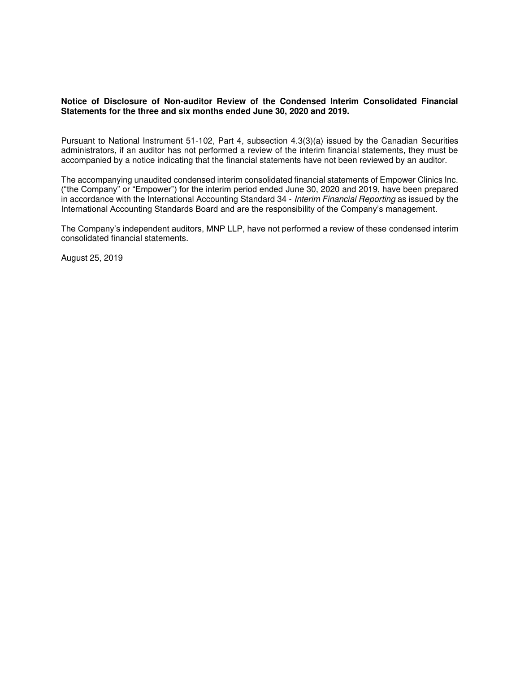# **Notice of Disclosure of Non-auditor Review of the Condensed Interim Consolidated Financial Statements for the three and six months ended June 30, 2020 and 2019.**

Pursuant to National Instrument 51-102, Part 4, subsection 4.3(3)(a) issued by the Canadian Securities administrators, if an auditor has not performed a review of the interim financial statements, they must be accompanied by a notice indicating that the financial statements have not been reviewed by an auditor.

The accompanying unaudited condensed interim consolidated financial statements of Empower Clinics Inc. ("the Company" or "Empower") for the interim period ended June 30, 2020 and 2019, have been prepared in accordance with the International Accounting Standard 34 - Interim Financial Reporting as issued by the International Accounting Standards Board and are the responsibility of the Company's management.

The Company's independent auditors, MNP LLP, have not performed a review of these condensed interim consolidated financial statements.

August 25, 2019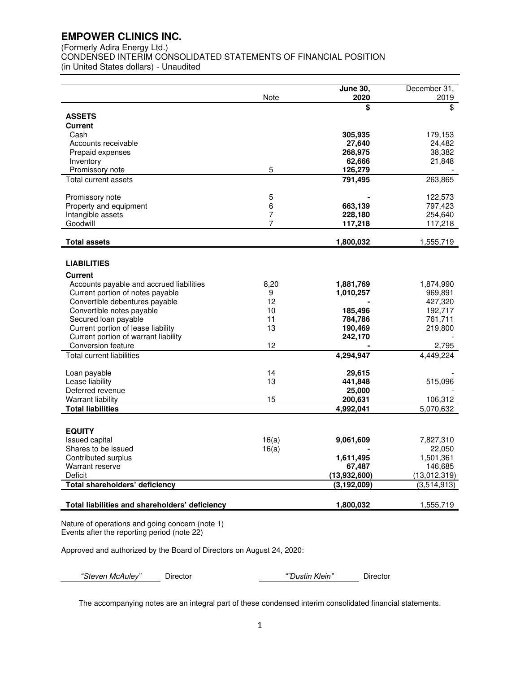(Formerly Adira Energy Ltd.)

CONDENSED INTERIM CONSOLIDATED STATEMENTS OF FINANCIAL POSITION

(in United States dollars) - Unaudited

|                                                   | Note     | <b>June 30,</b><br>2020       | December 31,<br>2019        |
|---------------------------------------------------|----------|-------------------------------|-----------------------------|
|                                                   |          | \$                            | \$                          |
| <b>ASSETS</b>                                     |          |                               |                             |
| Current                                           |          |                               |                             |
| Cash                                              |          | 305,935                       | 179,153                     |
| Accounts receivable<br>Prepaid expenses           |          | 27,640<br>268,975             | 24,482<br>38,382            |
| Inventory                                         |          | 62,666                        | 21,848                      |
| Promissory note                                   | 5        | 126,279                       |                             |
| Total current assets                              |          | 791,495                       | 263,865                     |
| Promissory note                                   | 5        |                               | 122,573                     |
| Property and equipment                            | 6        | 663,139                       | 797,423                     |
| Intangible assets                                 | 7        | 228,180                       | 254,640                     |
| Goodwill                                          | 7        | 117,218                       | 117,218                     |
| <b>Total assets</b>                               |          | 1,800,032                     | 1,555,719                   |
|                                                   |          |                               |                             |
| <b>LIABILITIES</b>                                |          |                               |                             |
| <b>Current</b>                                    |          |                               |                             |
| Accounts payable and accrued liabilities          | 8,20     | 1,881,769                     | 1,874,990                   |
| Current portion of notes payable                  | 9        | 1,010,257                     | 969,891                     |
| Convertible debentures payable                    | 12       |                               | 427,320                     |
| Convertible notes payable<br>Secured loan payable | 10<br>11 | 185,496<br>784,786            | 192,717<br>761,711          |
| Current portion of lease liability                | 13       | 190,469                       | 219,800                     |
| Current portion of warrant liability              |          | 242,170                       |                             |
| Conversion feature                                | 12       |                               | 2,795                       |
| <b>Total current liabilities</b>                  |          | 4,294,947                     | 4,449,224                   |
| Loan payable                                      | 14       | 29,615                        |                             |
| Lease liability                                   | 13       | 441,848                       | 515,096                     |
| Deferred revenue                                  |          | 25,000                        |                             |
| <b>Warrant liability</b>                          | 15       | 200,631                       | 106,312                     |
| <b>Total liabilities</b>                          |          | 4,992,041                     | 5,070,632                   |
|                                                   |          |                               |                             |
| <b>EQUITY</b>                                     |          |                               |                             |
| <b>Issued capital</b>                             | 16(a)    | 9,061,609                     | 7,827,310                   |
| Shares to be issued                               | 16(a)    |                               | 22,050                      |
| Contributed surplus                               |          | 1,611,495                     | 1,501,361                   |
| Warrant reserve                                   |          | 67,487                        | 146,685                     |
| Deficit<br>Total shareholders' deficiency         |          | (13,932,600)<br>(3, 192, 009) | (13,012,319)<br>(3,514,913) |
|                                                   |          |                               |                             |
| Total liabilities and shareholders' deficiency    |          | 1,800,032                     | 1,555,719                   |
|                                                   |          |                               |                             |

Nature of operations and going concern (note 1) Events after the reporting period (note 22)

Approved and authorized by the Board of Directors on August 24, 2020:

*"*Steven McAuley*"* Director *""Dustin Klein"* Director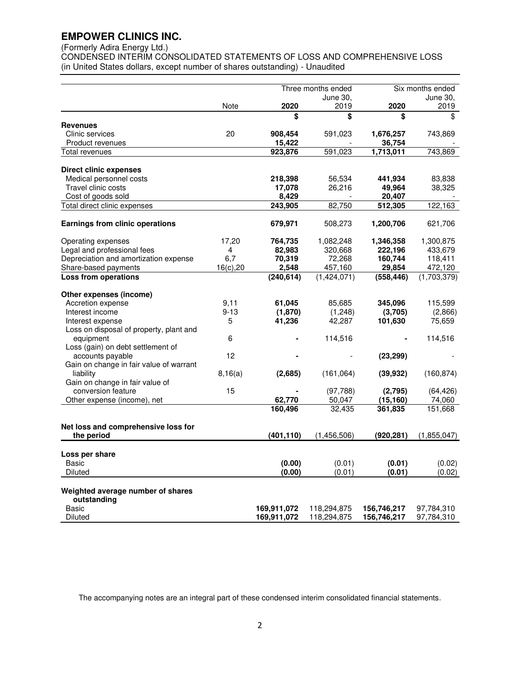# (Formerly Adira Energy Ltd.)

CONDENSED INTERIM CONSOLIDATED STATEMENTS OF LOSS AND COMPREHENSIVE LOSS (in United States dollars, except number of shares outstanding) - Unaudited

|                                                             | Three months ended |                                      | Six months ended           |                    |                          |
|-------------------------------------------------------------|--------------------|--------------------------------------|----------------------------|--------------------|--------------------------|
|                                                             |                    |                                      | June 30,                   |                    | June 30,                 |
|                                                             | Note               | 2020                                 | 2019                       | 2020               | 2019                     |
|                                                             |                    | $\overline{\boldsymbol{\mathsf{s}}}$ | \$                         | \$                 | \$                       |
| <b>Revenues</b><br>Clinic services                          | 20                 | 908,454                              | 591,023                    | 1,676,257          | 743,869                  |
| Product revenues                                            |                    | 15,422                               |                            | 36,754             |                          |
| <b>Total revenues</b>                                       |                    | 923,876                              | 591,023                    | 1,713,011          | 743,869                  |
|                                                             |                    |                                      |                            |                    |                          |
| <b>Direct clinic expenses</b>                               |                    |                                      |                            |                    |                          |
| Medical personnel costs                                     |                    | 218,398                              | 56,534                     | 441,934            | 83,838                   |
| Travel clinic costs                                         |                    | 17,078                               | 26,216                     | 49,964             | 38,325                   |
| Cost of goods sold                                          |                    | 8,429                                |                            | 20,407             |                          |
| Total direct clinic expenses                                |                    | 243,905                              | 82,750                     | 512,305            | 122,163                  |
|                                                             |                    |                                      |                            |                    |                          |
| Earnings from clinic operations                             |                    | 679,971                              | 508,273                    | 1,200,706          | 621,706                  |
| Operating expenses                                          | 17,20              | 764,735                              | 1,082,248                  | 1,346,358          | 1,300,875                |
| Legal and professional fees                                 | 4                  | 82,983                               | 320,668                    | 222,196            | 433,679                  |
| Depreciation and amortization expense                       | 6,7                | 70,319                               | 72,268                     | 160,744            | 118,411                  |
| Share-based payments                                        | 16(c), 20          | 2,548                                | 457,160                    | 29,854             | 472,120                  |
| <b>Loss from operations</b>                                 |                    | (240, 614)                           | (1,424,071)                | (558,446)          | (1,703,379)              |
|                                                             |                    |                                      |                            |                    |                          |
| Other expenses (income)                                     |                    |                                      |                            |                    |                          |
| Accretion expense                                           | 9,11               | 61,045                               | 85,685                     | 345,096            | 115,599                  |
| Interest income                                             | $9 - 13$<br>5      | (1,870)<br>41,236                    | (1,248)<br>42,287          | (3,705)<br>101,630 | (2,866)<br>75,659        |
| Interest expense<br>Loss on disposal of property, plant and |                    |                                      |                            |                    |                          |
| equipment                                                   | 6                  |                                      | 114,516                    |                    | 114,516                  |
| Loss (gain) on debt settlement of                           |                    |                                      |                            |                    |                          |
| accounts payable                                            | 12                 |                                      |                            | (23, 299)          |                          |
| Gain on change in fair value of warrant                     |                    |                                      |                            |                    |                          |
| liability                                                   | 8,16(a)            | (2,685)                              | (161, 064)                 | (39, 932)          | (160, 874)               |
| Gain on change in fair value of                             |                    |                                      |                            |                    |                          |
| conversion feature                                          | 15                 |                                      | (97, 788)                  | (2,795)            | (64, 426)                |
| Other expense (income), net                                 |                    | 62,770                               | 50,047                     | (15, 160)          | 74,060                   |
|                                                             |                    | 160,496                              | 32,435                     | 361,835            | 151,668                  |
|                                                             |                    |                                      |                            |                    |                          |
| Net loss and comprehensive loss for                         |                    |                                      |                            |                    |                          |
| the period                                                  |                    | (401, 110)                           | (1,456,506)                | (920, 281)         | (1,855,047)              |
| Loss per share                                              |                    |                                      |                            |                    |                          |
| Basic                                                       |                    | (0.00)                               | (0.01)                     | (0.01)             | (0.02)                   |
| Diluted                                                     |                    | (0.00)                               | (0.01)                     | (0.01)             | (0.02)                   |
|                                                             |                    |                                      |                            |                    |                          |
| Weighted average number of shares                           |                    |                                      |                            |                    |                          |
| outstanding<br>Basic                                        |                    |                                      |                            |                    |                          |
| <b>Diluted</b>                                              |                    | 169,911,072<br>169,911,072           | 118,294,875<br>118,294,875 | 156,746,217        | 97,784,310<br>97,784,310 |
|                                                             |                    |                                      |                            | 156,746,217        |                          |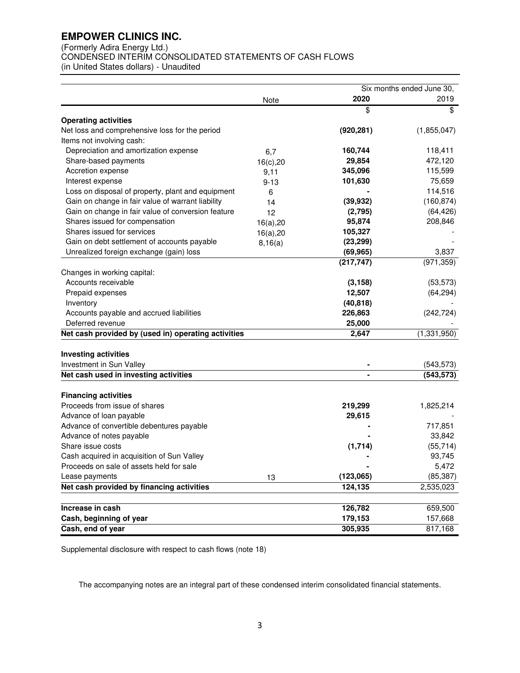(Formerly Adira Energy Ltd.)

CONDENSED INTERIM CONSOLIDATED STATEMENTS OF CASH FLOWS

(in United States dollars) - Unaudited

|                                                              |           |            | Six months ended June 30, |  |  |
|--------------------------------------------------------------|-----------|------------|---------------------------|--|--|
|                                                              | Note      | 2020       | 2019                      |  |  |
|                                                              |           | \$         | \$                        |  |  |
| <b>Operating activities</b>                                  |           |            |                           |  |  |
| Net loss and comprehensive loss for the period               |           | (920, 281) | (1,855,047)               |  |  |
| Items not involving cash:                                    |           |            |                           |  |  |
| Depreciation and amortization expense                        | 6,7       | 160,744    | 118,411                   |  |  |
| Share-based payments                                         | 16(c), 20 | 29,854     | 472,120                   |  |  |
| Accretion expense                                            | 9,11      | 345,096    | 115,599                   |  |  |
| Interest expense                                             | $9 - 13$  | 101,630    | 75,659                    |  |  |
| Loss on disposal of property, plant and equipment            | 6         |            | 114,516                   |  |  |
| Gain on change in fair value of warrant liability            | 14        | (39, 932)  | (160, 874)                |  |  |
| Gain on change in fair value of conversion feature           | 12        | (2,795)    | (64, 426)                 |  |  |
| Shares issued for compensation                               | 16(a), 20 | 95,874     | 208,846                   |  |  |
| Shares issued for services                                   | 16(a), 20 | 105,327    |                           |  |  |
| Gain on debt settlement of accounts payable                  | 8,16(a)   | (23, 299)  |                           |  |  |
| Unrealized foreign exchange (gain) loss                      |           | (69, 965)  | 3,837                     |  |  |
|                                                              |           | (217, 747) | (971, 359)                |  |  |
| Changes in working capital:                                  |           |            |                           |  |  |
| Accounts receivable                                          |           | (3, 158)   | (53, 573)                 |  |  |
| Prepaid expenses                                             |           | 12,507     | (64, 294)                 |  |  |
| Inventory                                                    |           | (40, 818)  |                           |  |  |
| Accounts payable and accrued liabilities                     |           | 226,863    | (242, 724)                |  |  |
| Deferred revenue                                             |           | 25,000     |                           |  |  |
| Net cash provided by (used in) operating activities          |           | 2,647      | (1, 331, 950)             |  |  |
| <b>Investing activities</b>                                  |           |            |                           |  |  |
| Investment in Sun Valley                                     |           |            | (543, 573)                |  |  |
| Net cash used in investing activities                        |           |            | (543, 573)                |  |  |
|                                                              |           |            |                           |  |  |
| <b>Financing activities</b><br>Proceeds from issue of shares |           | 219,299    | 1,825,214                 |  |  |
|                                                              |           |            |                           |  |  |
| Advance of loan payable                                      |           | 29,615     | 717,851                   |  |  |
| Advance of convertible debentures payable                    |           |            | 33,842                    |  |  |
| Advance of notes payable                                     |           |            |                           |  |  |
| Share issue costs                                            |           | (1,714)    | (55, 714)                 |  |  |
| Cash acquired in acquisition of Sun Valley                   |           |            | 93,745                    |  |  |
| Proceeds on sale of assets held for sale                     |           |            | 5,472                     |  |  |
| Lease payments                                               | 13        | (123,065)  | (85, 387)                 |  |  |
| Net cash provided by financing activities                    |           | 124,135    | 2,535,023                 |  |  |
| Increase in cash                                             |           | 126,782    | 659,500                   |  |  |
| Cash, beginning of year                                      |           | 179,153    | 157,668                   |  |  |
| Cash, end of year                                            |           | 305,935    | 817,168                   |  |  |

Supplemental disclosure with respect to cash flows (note 18)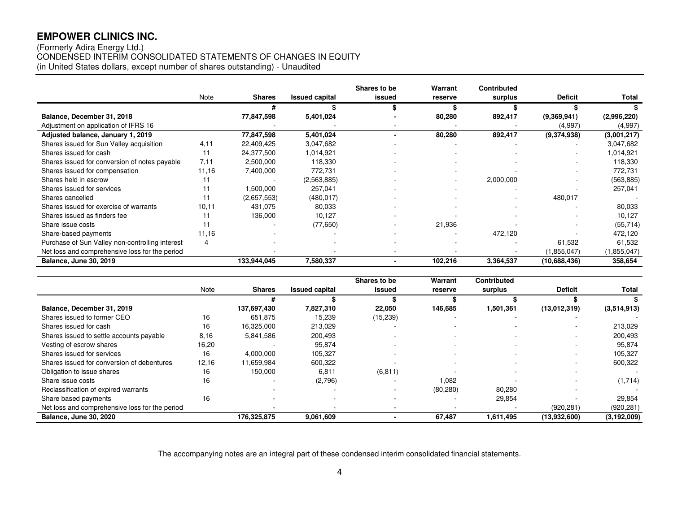# (Formerly Adira Energy Ltd.) CONDENSED INTERIM CONSOLIDATED STATEMENTS OF CHANGES IN EQUITY (in United States dollars, except number of shares outstanding) - Unaudited

|                                                 |        |               |                       | Shares to be   | Warrant | <b>Contributed</b> |                |             |
|-------------------------------------------------|--------|---------------|-----------------------|----------------|---------|--------------------|----------------|-------------|
|                                                 | Note   | <b>Shares</b> | <b>Issued capital</b> | issued         | reserve | surplus            | <b>Deficit</b> | Total       |
|                                                 |        | #             |                       |                |         |                    |                |             |
| Balance, December 31, 2018                      |        | 77,847,598    | 5,401,024             |                | 80,280  | 892,417            | (9,369,941)    | (2,996,220) |
| Adjustment on application of IFRS 16            |        |               |                       |                |         |                    | (4,997)        | (4,997)     |
| Adjusted balance, January 1, 2019               |        | 77,847,598    | 5,401,024             | $\blacksquare$ | 80,280  | 892,417            | (9,374,938)    | (3,001,217) |
| Shares issued for Sun Valley acquisition        | 4.11   | 22,409,425    | 3,047,682             |                |         |                    |                | 3,047,682   |
| Shares issued for cash                          |        | 24,377,500    | 1,014,921             |                |         |                    |                | 1,014,921   |
| Shares issued for conversion of notes payable   | 7.11   | 2,500,000     | 118,330               |                |         |                    |                | 118,330     |
| Shares issued for compensation                  | 11,16  | 7,400,000     | 772,731               |                |         |                    |                | 772,731     |
| Shares held in escrow                           |        |               | (2,563,885)           |                |         | 2,000,000          |                | (563, 885)  |
| Shares issued for services                      | 11     | 1,500,000     | 257,041               |                |         |                    |                | 257,041     |
| Shares cancelled                                |        | (2,657,553)   | (480, 017)            |                |         | ۰                  | 480,017        |             |
| Shares issued for exercise of warrants          | 10, 11 | 431,075       | 80,033                |                |         |                    |                | 80,033      |
| Shares issued as finders fee                    |        | 136,000       | 10,127                |                |         |                    |                | 10,127      |
| Share issue costs                               |        |               | (77, 650)             |                | 21,936  |                    |                | (55, 714)   |
| Share-based payments                            | 11,16  |               |                       |                |         | 472,120            |                | 472,120     |
| Purchase of Sun Valley non-controlling interest | 4      |               |                       |                |         |                    | 61,532         | 61,532      |
| Net loss and comprehensive loss for the period  |        |               |                       |                |         |                    | (1, 855, 047)  | (1,855,047) |
| <b>Balance, June 30, 2019</b>                   |        | 133,944,045   | 7,580,337             |                | 102,216 | 3,364,537          | (10,688,436)   | 358,654     |

|                                                |       |               |                       | Shares to be             | Warrant   | <b>Contributed</b>       |                          |                          |
|------------------------------------------------|-------|---------------|-----------------------|--------------------------|-----------|--------------------------|--------------------------|--------------------------|
|                                                | Note  | <b>Shares</b> | <b>Issued capital</b> | issued                   | reserve   | surplus                  | <b>Deficit</b>           | Total                    |
|                                                |       |               |                       |                          |           |                          |                          |                          |
| Balance, December 31, 2019                     |       | 137,697,430   | 7,827,310             | 22,050                   | 146,685   | 1,501,361                | (13,012,319)             | (3,514,913)              |
| Shares issued to former CEO                    | 16    | 651,875       | 15,239                | (15, 239)                |           |                          |                          |                          |
| Shares issued for cash                         | 16    | 16,325,000    | 213,029               |                          |           |                          |                          | 213,029                  |
| Shares issued to settle accounts payable       | 8.16  | 5,841,586     | 200,493               | $\overline{\phantom{a}}$ |           | $\overline{\phantom{a}}$ |                          | 200.493                  |
| Vesting of escrow shares                       | 16,20 |               | 95,874                |                          |           | $\overline{\phantom{a}}$ |                          | 95.874                   |
| Shares issued for services                     | 16    | 4,000,000     | 105,327               | ۰.                       |           | $\overline{\phantom{a}}$ | $\sim$                   | 105,327                  |
| Shares issued for conversion of debentures     | 12,16 | 11,659,984    | 600,322               |                          |           |                          |                          | 600,322                  |
| Obligation to issue shares                     | 16    | 150.000       | 6,811                 | (6, 811)                 |           | $\overline{\phantom{a}}$ | $\overline{\phantom{a}}$ | $\overline{\phantom{a}}$ |
| Share issue costs                              | 16    |               | (2,796)               |                          | 1.082     |                          |                          | (1,714)                  |
| Reclassification of expired warrants           |       |               |                       | ۰                        | (80, 280) | 80,280                   |                          |                          |
| Share based payments                           | 16    |               |                       |                          |           | 29,854                   |                          | 29,854                   |
| Net loss and comprehensive loss for the period |       | $\sim$        |                       |                          |           |                          | (920, 281)               | (920, 281)               |
| <b>Balance, June 30, 2020</b>                  |       | 176,325,875   | 9,061,609             |                          | 67,487    | 1,611,495                | (13,932,600)             | (3, 192, 009)            |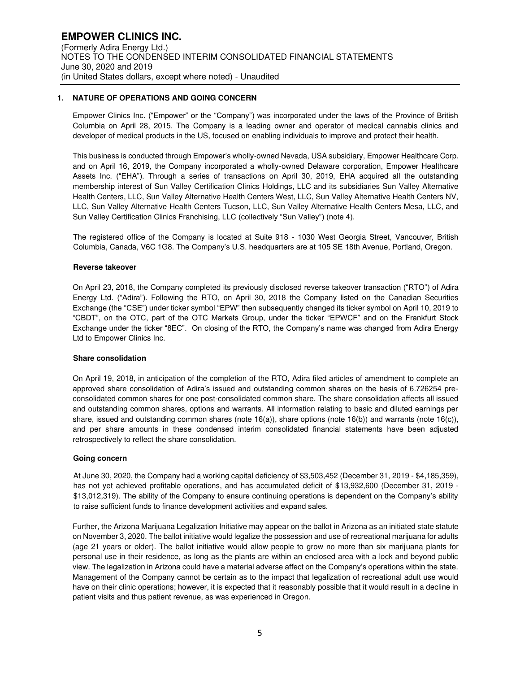# **1. NATURE OF OPERATIONS AND GOING CONCERN**

Empower Clinics Inc. ("Empower" or the "Company") was incorporated under the laws of the Province of British Columbia on April 28, 2015. The Company is a leading owner and operator of medical cannabis clinics and developer of medical products in the US, focused on enabling individuals to improve and protect their health.

This business is conducted through Empower's wholly-owned Nevada, USA subsidiary, Empower Healthcare Corp. and on April 16, 2019, the Company incorporated a wholly-owned Delaware corporation, Empower Healthcare Assets Inc. ("EHA"). Through a series of transactions on April 30, 2019, EHA acquired all the outstanding membership interest of Sun Valley Certification Clinics Holdings, LLC and its subsidiaries Sun Valley Alternative Health Centers, LLC, Sun Valley Alternative Health Centers West, LLC, Sun Valley Alternative Health Centers NV, LLC, Sun Valley Alternative Health Centers Tucson, LLC, Sun Valley Alternative Health Centers Mesa, LLC, and Sun Valley Certification Clinics Franchising, LLC (collectively "Sun Valley") (note 4).

The registered office of the Company is located at Suite 918 - 1030 West Georgia Street, Vancouver, British Columbia, Canada, V6C 1G8. The Company's U.S. headquarters are at 105 SE 18th Avenue, Portland, Oregon.

#### **Reverse takeover**

On April 23, 2018, the Company completed its previously disclosed reverse takeover transaction ("RTO") of Adira Energy Ltd. ("Adira"). Following the RTO, on April 30, 2018 the Company listed on the Canadian Securities Exchange (the "CSE") under ticker symbol "EPW" then subsequently changed its ticker symbol on April 10, 2019 to "CBDT", on the OTC, part of the OTC Markets Group, under the ticker "EPWCF" and on the Frankfurt Stock Exchange under the ticker "8EC". On closing of the RTO, the Company's name was changed from Adira Energy Ltd to Empower Clinics Inc.

#### **Share consolidation**

On April 19, 2018, in anticipation of the completion of the RTO, Adira filed articles of amendment to complete an approved share consolidation of Adira's issued and outstanding common shares on the basis of 6.726254 preconsolidated common shares for one post-consolidated common share. The share consolidation affects all issued and outstanding common shares, options and warrants. All information relating to basic and diluted earnings per share, issued and outstanding common shares (note 16(a)), share options (note 16(b)) and warrants (note 16(c)), and per share amounts in these condensed interim consolidated financial statements have been adjusted retrospectively to reflect the share consolidation.

#### **Going concern**

At June 30, 2020, the Company had a working capital deficiency of \$3,503,452 (December 31, 2019 - \$4,185,359), has not yet achieved profitable operations, and has accumulated deficit of \$13,932,600 (December 31, 2019 - \$13,012,319). The ability of the Company to ensure continuing operations is dependent on the Company's ability to raise sufficient funds to finance development activities and expand sales.

Further, the Arizona Marijuana Legalization Initiative may appear on the ballot in Arizona as an initiated state statute on November 3, 2020. The ballot initiative would legalize the possession and use of recreational marijuana for adults (age 21 years or older). The ballot initiative would allow people to grow no more than six marijuana plants for personal use in their residence, as long as the plants are within an enclosed area with a lock and beyond public view. The legalization in Arizona could have a material adverse affect on the Company's operations within the state. Management of the Company cannot be certain as to the impact that legalization of recreational adult use would have on their clinic operations; however, it is expected that it reasonably possible that it would result in a decline in patient visits and thus patient revenue, as was experienced in Oregon.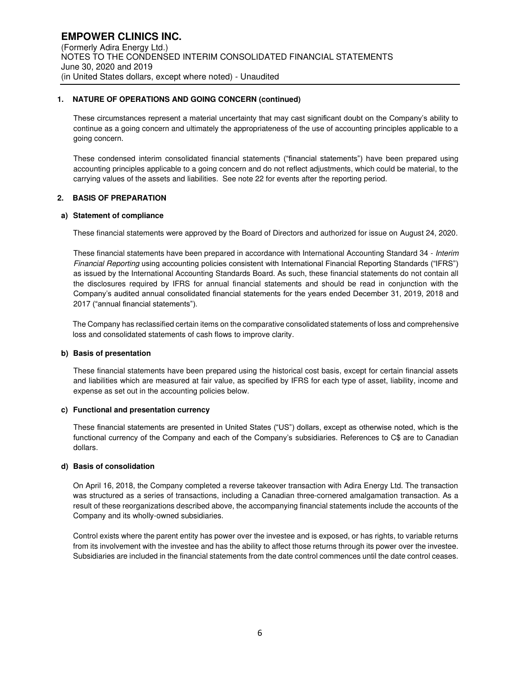# **1. NATURE OF OPERATIONS AND GOING CONCERN (continued)**

These circumstances represent a material uncertainty that may cast significant doubt on the Company's ability to continue as a going concern and ultimately the appropriateness of the use of accounting principles applicable to a going concern.

These condensed interim consolidated financial statements ("financial statements") have been prepared using accounting principles applicable to a going concern and do not reflect adjustments, which could be material, to the carrying values of the assets and liabilities. See note 22 for events after the reporting period.

# **2. BASIS OF PREPARATION**

# **a) Statement of compliance**

These financial statements were approved by the Board of Directors and authorized for issue on August 24, 2020.

These financial statements have been prepared in accordance with International Accounting Standard 34 - Interim Financial Reporting using accounting policies consistent with International Financial Reporting Standards ("IFRS") as issued by the International Accounting Standards Board. As such, these financial statements do not contain all the disclosures required by IFRS for annual financial statements and should be read in conjunction with the Company's audited annual consolidated financial statements for the years ended December 31, 2019, 2018 and 2017 ("annual financial statements").

The Company has reclassified certain items on the comparative consolidated statements of loss and comprehensive loss and consolidated statements of cash flows to improve clarity.

# **b) Basis of presentation**

These financial statements have been prepared using the historical cost basis, except for certain financial assets and liabilities which are measured at fair value, as specified by IFRS for each type of asset, liability, income and expense as set out in the accounting policies below.

#### **c) Functional and presentation currency**

These financial statements are presented in United States ("US") dollars, except as otherwise noted, which is the functional currency of the Company and each of the Company's subsidiaries. References to C\$ are to Canadian dollars.

#### **d) Basis of consolidation**

On April 16, 2018, the Company completed a reverse takeover transaction with Adira Energy Ltd. The transaction was structured as a series of transactions, including a Canadian three-cornered amalgamation transaction. As a result of these reorganizations described above, the accompanying financial statements include the accounts of the Company and its wholly-owned subsidiaries.

Control exists where the parent entity has power over the investee and is exposed, or has rights, to variable returns from its involvement with the investee and has the ability to affect those returns through its power over the investee. Subsidiaries are included in the financial statements from the date control commences until the date control ceases.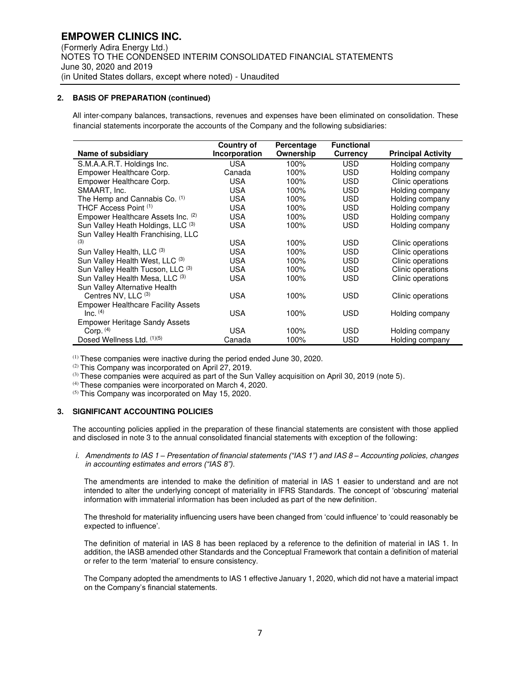# **2. BASIS OF PREPARATION (continued)**

 All inter-company balances, transactions, revenues and expenses have been eliminated on consolidation. These financial statements incorporate the accounts of the Company and the following subsidiaries:

|                                           | Country of    | Percentage | <b>Functional</b> |                           |
|-------------------------------------------|---------------|------------|-------------------|---------------------------|
| Name of subsidiary                        | Incorporation | Ownership  | Currency          | <b>Principal Activity</b> |
| S.M.A.A.R.T. Holdings Inc.                | <b>USA</b>    | 100%       | <b>USD</b>        | Holding company           |
| Empower Healthcare Corp.                  | Canada        | 100%       | <b>USD</b>        | Holding company           |
| Empower Healthcare Corp.                  | <b>USA</b>    | 100%       | <b>USD</b>        | Clinic operations         |
| SMAART, Inc.                              | <b>USA</b>    | 100%       | <b>USD</b>        | Holding company           |
| The Hemp and Cannabis Co. (1)             | <b>USA</b>    | 100%       | <b>USD</b>        | Holding company           |
| THCF Access Point (1)                     | <b>USA</b>    | 100%       | <b>USD</b>        | Holding company           |
| Empower Healthcare Assets Inc. (2)        | <b>USA</b>    | 100%       | <b>USD</b>        | Holding company           |
| Sun Valley Heath Holdings, LLC (3)        | <b>USA</b>    | 100%       | <b>USD</b>        | Holding company           |
| Sun Valley Health Franchising, LLC        |               |            |                   |                           |
| (3)                                       | <b>USA</b>    | 100%       | <b>USD</b>        | Clinic operations         |
| Sun Valley Health, LLC (3)                | <b>USA</b>    | 100%       | <b>USD</b>        | Clinic operations         |
| Sun Valley Health West, LLC (3)           | <b>USA</b>    | 100%       | <b>USD</b>        | Clinic operations         |
| Sun Valley Health Tucson, LLC (3)         | <b>USA</b>    | 100%       | <b>USD</b>        | Clinic operations         |
| Sun Valley Health Mesa, LLC (3)           | <b>USA</b>    | 100%       | <b>USD</b>        | Clinic operations         |
| Sun Valley Alternative Health             |               |            |                   |                           |
| Centres NV, LLC (3)                       | <b>USA</b>    | 100%       | <b>USD</b>        | Clinic operations         |
| <b>Empower Healthcare Facility Assets</b> |               |            |                   |                           |
| $Inc.$ $(4)$                              | <b>USA</b>    | 100%       | <b>USD</b>        | Holding company           |
| <b>Empower Heritage Sandy Assets</b>      |               |            |                   |                           |
| Corp. $(4)$                               | <b>USA</b>    | 100%       | <b>USD</b>        | Holding company           |
| Dosed Wellness Ltd. (1)(5)                | Canada        | 100%       | <b>USD</b>        | Holding company           |

(1) These companies were inactive during the period ended June 30, 2020.

(2) This Company was incorporated on April 27, 2019.

(3) These companies were acquired as part of the Sun Valley acquisition on April 30, 2019 (note 5).

(4) These companies were incorporated on March 4, 2020.

<sup>(5)</sup> This Company was incorporated on May 15, 2020.

# **3. SIGNIFICANT ACCOUNTING POLICIES**

The accounting policies applied in the preparation of these financial statements are consistent with those applied and disclosed in note 3 to the annual consolidated financial statements with exception of the following:

i. Amendments to IAS 1 *– Presentation of financial statements ("IAS 1") and I*AS 8 *–* Accounting policies, changes *in accounting estimates and errors ("IAS 8").*

The amendments are intended to make the definition of material in IAS 1 easier to understand and are not intended to alter the underlying concept of materiality in IFRS Standards. The concept of 'obscuring' material information with immaterial information has been included as part of the new definition.

The threshold for materiality influencing users have been changed from 'could influence' to 'could reasonably be expected to influence'.

The definition of material in IAS 8 has been replaced by a reference to the definition of material in IAS 1. In addition, the IASB amended other Standards and the Conceptual Framework that contain a definition of material or refer to the term 'material' to ensure consistency.

The Company adopted the amendments to IAS 1 effective January 1, 2020, which did not have a material impact on the Company's financial statements.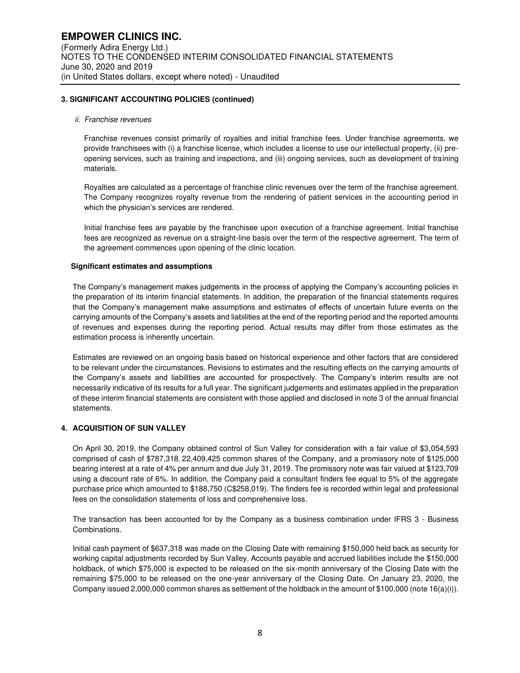#### **3. SIGNIFICANT ACCOUNTING POLICIES (continued)**

#### ii. Franchise revenues

Franchise revenues consist primarily of royalties and initial franchise fees. Under franchise agreements, we provide franchisees with (i) a franchise license, which includes a license to use our intellectual property, (ii) preopening services, such as training and inspections, and (iii) ongoing services, such as development of training materials.

Royalties are calculated as a percentage of franchise clinic revenues over the term of the franchise agreement. The Company recognizes royalty revenue from the rendering of patient services in the accounting period in which the physician's services are rendered.

Initial franchise fees are payable by the franchisee upon execution of a franchise agreement. Initial franchise fees are recognized as revenue on a straight-line basis over the term of the respective agreement. The term of the agreement commences upon opening of the clinic location.

#### **Significant estimates and assumptions**

The Company's management makes judgements in the process of applying the Company's accounting policies in the preparation of its interim financial statements. In addition, the preparation of the financial statements requires that the Company's management make assumptions and estimates of effects of uncertain future events on the carrying amounts of the Company's assets and liabilities at the end of the reporting period and the reported amounts of revenues and expenses during the reporting period. Actual results may differ from those estimates as the estimation process is inherently uncertain.

Estimates are reviewed on an ongoing basis based on historical experience and other factors that are considered to be relevant under the circumstances. Revisions to estimates and the resulting effects on the carrying amounts of the Company's assets and liabilities are accounted for prospectively. The Company's interim results are not necessarily indicative of its results for a full year. The significant judgements and estimates applied in the preparation of these interim financial statements are consistent with those applied and disclosed in note 3 of the annual financial statements.

#### **4. ACQUISITION OF SUN VALLEY**

On April 30, 2019, the Company obtained control of Sun Valley for consideration with a fair value of \$3,054,593 comprised of cash of \$787,318, 22,409,425 common shares of the Company, and a promissory note of \$125,000 bearing interest at a rate of 4% per annum and due July 31, 2019. The promissory note was fair valued at \$123,709 using a discount rate of 6%. In addition, the Company paid a consultant finders fee equal to 5% of the aggregate purchase price which amounted to \$188,750 (C\$258,019). The finders fee is recorded within legal and professional fees on the consolidation statements of loss and comprehensive loss.

The transaction has been accounted for by the Company as a business combination under IFRS 3 - Business Combinations.

Initial cash payment of \$637,318 was made on the Closing Date with remaining \$150,000 held back as security for working capital adjustments recorded by Sun Valley. Accounts payable and accrued liabilities include the \$150,000 holdback, of which \$75,000 is expected to be released on the six-month anniversary of the Closing Date with the remaining \$75,000 to be released on the one-year anniversary of the Closing Date. On January 23, 2020, the Company issued 2,000,000 common shares as settlement of the holdback in the amount of \$100,000 (note 16(a)(i)).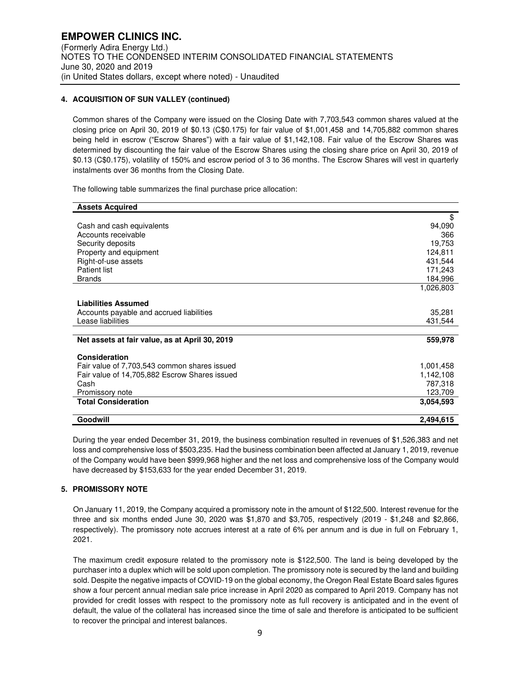# **4. ACQUISITION OF SUN VALLEY (continued)**

Common shares of the Company were issued on the Closing Date with 7,703,543 common shares valued at the closing price on April 30, 2019 of \$0.13 (C\$0.175) for fair value of \$1,001,458 and 14,705,882 common shares being held in escrow ("Escrow Shares") with a fair value of \$1,142,108. Fair value of the Escrow Shares was determined by discounting the fair value of the Escrow Shares using the closing share price on April 30, 2019 of \$0.13 (C\$0.175), volatility of 150% and escrow period of 3 to 36 months. The Escrow Shares will vest in quarterly instalments over 36 months from the Closing Date.

The following table summarizes the final purchase price allocation:

| <b>Assets Acquired</b>                                        |                   |
|---------------------------------------------------------------|-------------------|
|                                                               | \$                |
| Cash and cash equivalents                                     | 94,090            |
| Accounts receivable                                           | 366               |
| Security deposits                                             | 19,753            |
| Property and equipment                                        | 124,811           |
| Right-of-use assets                                           | 431,544           |
| <b>Patient list</b>                                           | 171,243           |
| <b>Brands</b>                                                 | 184,996           |
|                                                               | 1,026,803         |
| <b>Liabilities Assumed</b>                                    |                   |
|                                                               |                   |
| Accounts payable and accrued liabilities<br>Lease liabilities | 35,281<br>431,544 |
|                                                               |                   |
| Net assets at fair value, as at April 30, 2019                | 559,978           |
|                                                               |                   |
| Consideration                                                 |                   |
| Fair value of 7,703,543 common shares issued                  | 1,001,458         |
| Fair value of 14,705,882 Escrow Shares issued                 | 1,142,108         |
| Cash                                                          | 787,318           |
| Promissory note                                               | 123,709           |
| <b>Total Consideration</b>                                    | 3.054,593         |
|                                                               |                   |
| Goodwill                                                      | 2,494,615         |

During the year ended December 31, 2019, the business combination resulted in revenues of \$1,526,383 and net loss and comprehensive loss of \$503,235. Had the business combination been affected at January 1, 2019, revenue of the Company would have been \$999,968 higher and the net loss and comprehensive loss of the Company would have decreased by \$153,633 for the year ended December 31, 2019.

# **5. PROMISSORY NOTE**

On January 11, 2019, the Company acquired a promissory note in the amount of \$122,500. Interest revenue for the three and six months ended June 30, 2020 was \$1,870 and \$3,705, respectively (2019 - \$1,248 and \$2,866, respectively). The promissory note accrues interest at a rate of 6% per annum and is due in full on February 1, 2021.

The maximum credit exposure related to the promissory note is \$122,500. The land is being developed by the purchaser into a duplex which will be sold upon completion. The promissory note is secured by the land and building sold. Despite the negative impacts of COVID-19 on the global economy, the Oregon Real Estate Board sales figures show a four percent annual median sale price increase in April 2020 as compared to April 2019. Company has not provided for credit losses with respect to the promissory note as full recovery is anticipated and in the event of default, the value of the collateral has increased since the time of sale and therefore is anticipated to be sufficient to recover the principal and interest balances.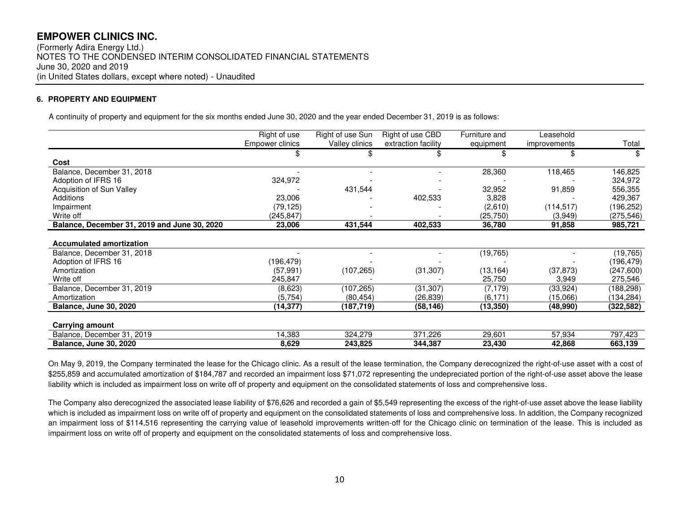(Formerly Adira Energy Ltd.) NOTES TO THE CONDENSED INTERIM CONSOLIDATED FINANCIAL STATEMENTS June 30, 2020 and 2019 (in United States dollars, except where noted) - Unaudited

# **6. PROPERTY AND EQUIPMENT**

A continuity of property and equipment for the six months ended June 30, 2020 and the year ended December 31, 2019 is as follows:

|                                              | Right of use    | Right of use Sun | Right of use CBD    | Furniture and | Leasehold    |            |
|----------------------------------------------|-----------------|------------------|---------------------|---------------|--------------|------------|
|                                              | Empower clinics | Valley clinics   | extraction facility | equipment     | improvements | Total      |
|                                              |                 | \$               |                     | \$            | \$           | S          |
| Cost                                         |                 |                  |                     |               |              |            |
| Balance, December 31, 2018                   |                 |                  |                     | 28,360        | 118,465      | 146,825    |
| Adoption of IFRS 16                          | 324,972         |                  |                     |               |              | 324,972    |
| <b>Acquisition of Sun Valley</b>             |                 | 431,544          |                     | 32,952        | 91,859       | 556,355    |
| Additions                                    | 23,006          |                  | 402,533             | 3,828         |              | 429,367    |
| Impairment                                   | (79,125)        |                  |                     | (2,610)       | (114, 517)   | (196,252)  |
| Write off                                    | (245, 847)      |                  |                     | (25,750)      | (3,949)      | (275, 546) |
| Balance, December 31, 2019 and June 30, 2020 | 23,006          | 431,544          | 402,533             | 36,780        | 91,858       | 985,721    |
| <b>Accumulated amortization</b>              |                 |                  |                     |               |              |            |
| Balance, December 31, 2018                   |                 |                  |                     | (19, 765)     |              | (19, 765)  |
| Adoption of IFRS 16                          | (196, 479)      |                  |                     |               |              | (196,479)  |
| Amortization                                 | (57, 991)       | (107, 265)       | (31, 307)           | (13,164)      | (37, 873)    | (247,600)  |
| Write off                                    | 245,847         |                  |                     | 25,750        | 3,949        | 275,546    |
| Balance, December 31, 2019                   | (8,623)         | (107, 265)       | (31, 307)           | (7, 179)      | (33, 924)    | (188,298)  |
| Amortization                                 | (5,754)         | (80, 454)        | (26,839)            | (6, 171)      | (15,066)     | (134, 284) |
| <b>Balance, June 30, 2020</b>                | (14, 377)       | (187,719)        | (58, 146)           | (13, 350)     | (48,990)     | (322, 582) |
|                                              |                 |                  |                     |               |              |            |
| Carrying amount                              |                 |                  |                     |               |              |            |
| Balance, December 31, 2019                   | 14,383          | 324,279          | 371,226             | 29,601        | 57,934       | 797,423    |
| <b>Balance, June 30, 2020</b>                | 8,629           | 243,825          | 344,387             | 23,430        | 42,868       | 663,139    |

On May 9, 2019, the Company terminated the lease for the Chicago clinic. As a result of the lease termination, the Company derecognized the right-of-use asset with a cost of \$255,859 and accumulated amortization of \$184,787 and recorded an impairment loss \$71,072 representing the undepreciated portion of the right-of-use asset above the lease liability which is included as impairment loss on write off of property and equipment on the consolidated statements of loss and comprehensive loss.

The Company also derecognized the associated lease liability of \$76,626 and recorded a gain of \$5,549 representing the excess of the right-of-use asset above the lease liability which is included as impairment loss on write off of property and equipment on the consolidated statements of loss and comprehensive loss. In addition, the Company recognized an impairment loss of \$114,516 representing the carrying value of leasehold improvements written-off for the Chicago clinic on termination of the lease. This is included as impairment loss on write off of property and equipment on the consolidated statements of loss and comprehensive loss.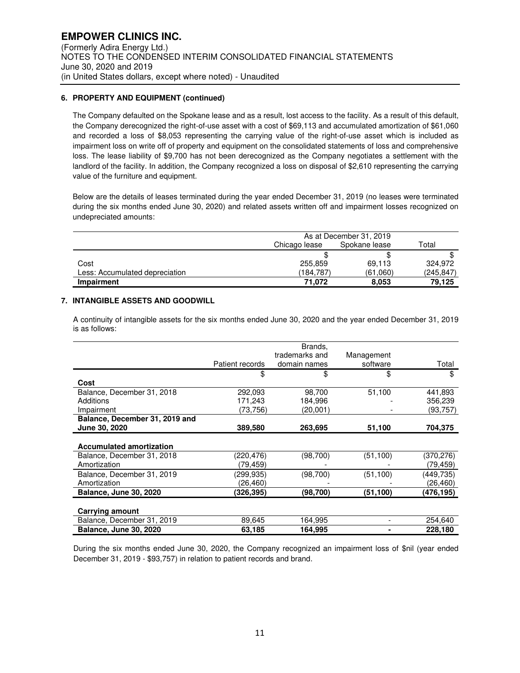# **6. PROPERTY AND EQUIPMENT (continued)**

The Company defaulted on the Spokane lease and as a result, lost access to the facility. As a result of this default, the Company derecognized the right-of-use asset with a cost of \$69,113 and accumulated amortization of \$61,060 and recorded a loss of \$8,053 representing the carrying value of the right-of-use asset which is included as impairment loss on write off of property and equipment on the consolidated statements of loss and comprehensive loss. The lease liability of \$9,700 has not been derecognized as the Company negotiates a settlement with the landlord of the facility. In addition, the Company recognized a loss on disposal of \$2,610 representing the carrying value of the furniture and equipment.

Below are the details of leases terminated during the year ended December 31, 2019 (no leases were terminated during the six months ended June 30, 2020) and related assets written off and impairment losses recognized on undepreciated amounts:

|                                | As at December 31, 2019 |          |           |
|--------------------------------|-------------------------|----------|-----------|
|                                | Chicago lease           | Total    |           |
|                                |                         |          |           |
| Cost                           | 255,859                 | 69.113   | 324.972   |
| Less: Accumulated depreciation | (184,787)               | (61,060) | (245,847) |
| Impairment                     | 71.072                  | 8.053    | 79.125    |

# **7. INTANGIBLE ASSETS AND GOODWILL**

A continuity of intangible assets for the six months ended June 30, 2020 and the year ended December 31, 2019 is as follows:

|                                 | Patient records | Brands,<br>trademarks and<br>domain names | Management<br>software | Total      |
|---------------------------------|-----------------|-------------------------------------------|------------------------|------------|
|                                 | \$              | \$                                        | \$                     | \$         |
| Cost                            |                 |                                           |                        |            |
| Balance, December 31, 2018      | 292,093         | 98,700                                    | 51,100                 | 441,893    |
| Additions                       | 171,243         | 184,996                                   |                        | 356,239    |
| Impairment                      | (73,756)        | (20,001)                                  |                        | (93, 757)  |
| Balance, December 31, 2019 and  |                 |                                           |                        |            |
| June 30, 2020                   | 389,580         | 263,695                                   | 51,100                 | 704,375    |
| <b>Accumulated amortization</b> |                 |                                           |                        |            |
| Balance, December 31, 2018      | (220,476)       | (98, 700)                                 | (51, 100)              | (370, 276) |
| Amortization                    | (79, 459)       |                                           |                        | (79,459)   |
| Balance, December 31, 2019      | (299,935)       | (98,700)                                  | (51, 100)              | (449,735)  |
| Amortization                    | (26,460)        |                                           |                        | (26,460)   |
| <b>Balance, June 30, 2020</b>   | (326.395)       | (98,700)                                  | (51,100)               | (476.195)  |
| Carrying amount                 |                 |                                           |                        |            |
| Balance, December 31, 2019      | 89.645          | 164.995                                   |                        | 254,640    |
| <b>Balance, June 30, 2020</b>   | 63,185          | 164,995                                   |                        | 228,180    |

During the six months ended June 30, 2020, the Company recognized an impairment loss of \$nil (year ended December 31, 2019 - \$93,757) in relation to patient records and brand.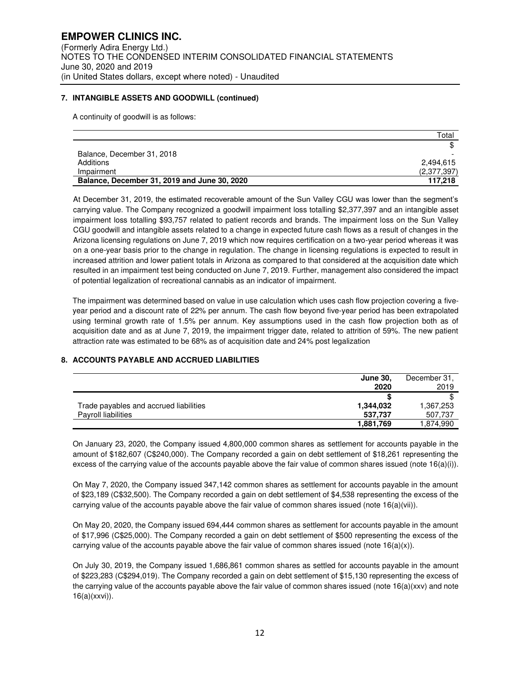# **7. INTANGIBLE ASSETS AND GOODWILL (continued)**

A continuity of goodwill is as follows:

|                                              | Total       |
|----------------------------------------------|-------------|
|                                              |             |
| Balance, December 31, 2018                   |             |
| Additions                                    | 2.494.615   |
| Impairment                                   | (2,377,397) |
| Balance, December 31, 2019 and June 30, 2020 | 117.218     |

At December 31, 2019, the estimated recoverable amount of the Sun Valley CGU was lower than the segment's carrying value. The Company recognized a goodwill impairment loss totalling \$2,377,397 and an intangible asset impairment loss totalling \$93,757 related to patient records and brands. The impairment loss on the Sun Valley CGU goodwill and intangible assets related to a change in expected future cash flows as a result of changes in the Arizona licensing regulations on June 7, 2019 which now requires certification on a two-year period whereas it was on a one-year basis prior to the change in regulation. The change in licensing regulations is expected to result in increased attrition and lower patient totals in Arizona as compared to that considered at the acquisition date which resulted in an impairment test being conducted on June 7, 2019. Further, management also considered the impact of potential legalization of recreational cannabis as an indicator of impairment.

The impairment was determined based on value in use calculation which uses cash flow projection covering a fiveyear period and a discount rate of 22% per annum. The cash flow beyond five-year period has been extrapolated using terminal growth rate of 1.5% per annum. Key assumptions used in the cash flow projection both as of acquisition date and as at June 7, 2019, the impairment trigger date, related to attrition of 59%. The new patient attraction rate was estimated to be 68% as of acquisition date and 24% post legalization

# **8. ACCOUNTS PAYABLE AND ACCRUED LIABILITIES**

|                                        | <b>June 30,</b> | December 31, |
|----------------------------------------|-----------------|--------------|
|                                        | 2020            | 2019         |
|                                        |                 |              |
| Trade payables and accrued liabilities | 1,344,032       | 1,367,253    |
| <b>Payroll liabilities</b>             | 537,737         | 507,737      |
|                                        | 1,881,769       | 1,874,990    |

On January 23, 2020, the Company issued 4,800,000 common shares as settlement for accounts payable in the amount of \$182,607 (C\$240,000). The Company recorded a gain on debt settlement of \$18,261 representing the excess of the carrying value of the accounts payable above the fair value of common shares issued (note 16(a)(i)).

On May 7, 2020, the Company issued 347,142 common shares as settlement for accounts payable in the amount of \$23,189 (C\$32,500). The Company recorded a gain on debt settlement of \$4,538 representing the excess of the carrying value of the accounts payable above the fair value of common shares issued (note 16(a)(vii)).

On May 20, 2020, the Company issued 694,444 common shares as settlement for accounts payable in the amount of \$17,996 (C\$25,000). The Company recorded a gain on debt settlement of \$500 representing the excess of the carrying value of the accounts payable above the fair value of common shares issued (note  $16(a)(x)$ ).

On July 30, 2019, the Company issued 1,686,861 common shares as settled for accounts payable in the amount of \$223,283 (C\$294,019). The Company recorded a gain on debt settlement of \$15,130 representing the excess of the carrying value of the accounts payable above the fair value of common shares issued (note 16(a)(xxv) and note 16(a)(xxvi)).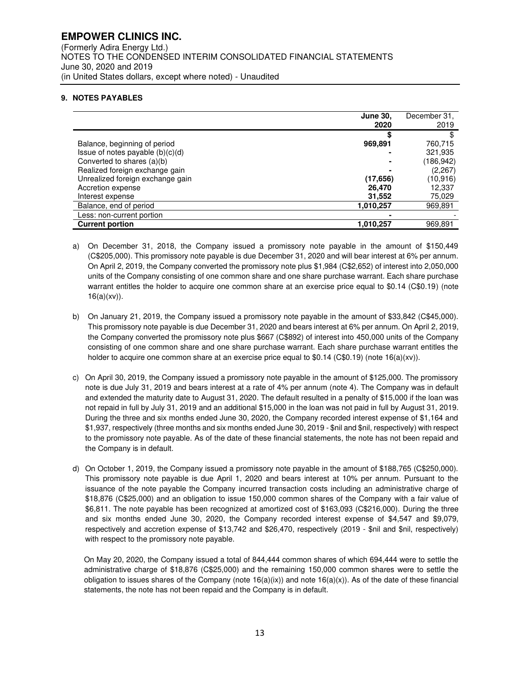# **EMPOWER CLINICS INC.**  (Formerly Adira Energy Ltd.) NOTES TO THE CONDENSED INTERIM CONSOLIDATED FINANCIAL STATEMENTS June 30, 2020 and 2019 (in United States dollars, except where noted) - Unaudited

# **9. NOTES PAYABLES**

|                                    | <b>June 30,</b><br>2020 | December 31,<br>2019 |
|------------------------------------|-------------------------|----------------------|
|                                    |                         |                      |
| Balance, beginning of period       | 969,891                 | 760,715              |
| Issue of notes payable $(b)(c)(d)$ |                         | 321,935              |
| Converted to shares (a)(b)         |                         | (186, 942)           |
| Realized foreign exchange gain     |                         | (2,267)              |
| Unrealized foreign exchange gain   | (17, 656)               | (10,916)             |
| Accretion expense                  | 26,470                  | 12,337               |
| Interest expense                   | 31,552                  | 75,029               |
| Balance, end of period             | 1,010,257               | 969,891              |
| Less: non-current portion          |                         |                      |
| <b>Current portion</b>             | 1,010,257               | 969,891              |

- a) On December 31, 2018, the Company issued a promissory note payable in the amount of \$150,449 (C\$205,000). This promissory note payable is due December 31, 2020 and will bear interest at 6% per annum. On April 2, 2019, the Company converted the promissory note plus \$1,984 (C\$2,652) of interest into 2,050,000 units of the Company consisting of one common share and one share purchase warrant. Each share purchase warrant entitles the holder to acquire one common share at an exercise price equal to \$0.14 (C\$0.19) (note  $16(a)(xv)$ ).
- b) On January 21, 2019, the Company issued a promissory note payable in the amount of \$33,842 (C\$45,000). This promissory note payable is due December 31, 2020 and bears interest at 6% per annum. On April 2, 2019, the Company converted the promissory note plus \$667 (C\$892) of interest into 450,000 units of the Company consisting of one common share and one share purchase warrant. Each share purchase warrant entitles the holder to acquire one common share at an exercise price equal to \$0.14 (C\$0.19) (note 16(a)(xv)).
- c) On April 30, 2019, the Company issued a promissory note payable in the amount of \$125,000. The promissory note is due July 31, 2019 and bears interest at a rate of 4% per annum (note 4). The Company was in default and extended the maturity date to August 31, 2020. The default resulted in a penalty of \$15,000 if the loan was not repaid in full by July 31, 2019 and an additional \$15,000 in the loan was not paid in full by August 31, 2019. During the three and six months ended June 30, 2020, the Company recorded interest expense of \$1,164 and \$1,937, respectively (three months and six months ended June 30, 2019 - \$nil and \$nil, respectively) with respect to the promissory note payable. As of the date of these financial statements, the note has not been repaid and the Company is in default.
- d) On October 1, 2019, the Company issued a promissory note payable in the amount of \$188,765 (C\$250,000). This promissory note payable is due April 1, 2020 and bears interest at 10% per annum. Pursuant to the issuance of the note payable the Company incurred transaction costs including an administrative charge of \$18,876 (C\$25,000) and an obligation to issue 150,000 common shares of the Company with a fair value of \$6,811. The note payable has been recognized at amortized cost of \$163,093 (C\$216,000). During the three and six months ended June 30, 2020, the Company recorded interest expense of \$4,547 and \$9,079, respectively and accretion expense of \$13,742 and \$26,470, respectively (2019 - \$nil and \$nil, respectively) with respect to the promissory note payable.

On May 20, 2020, the Company issued a total of 844,444 common shares of which 694,444 were to settle the administrative charge of \$18,876 (C\$25,000) and the remaining 150,000 common shares were to settle the obligation to issues shares of the Company (note  $16(a)(ix)$ ) and note  $16(a)(x)$ ). As of the date of these financial statements, the note has not been repaid and the Company is in default.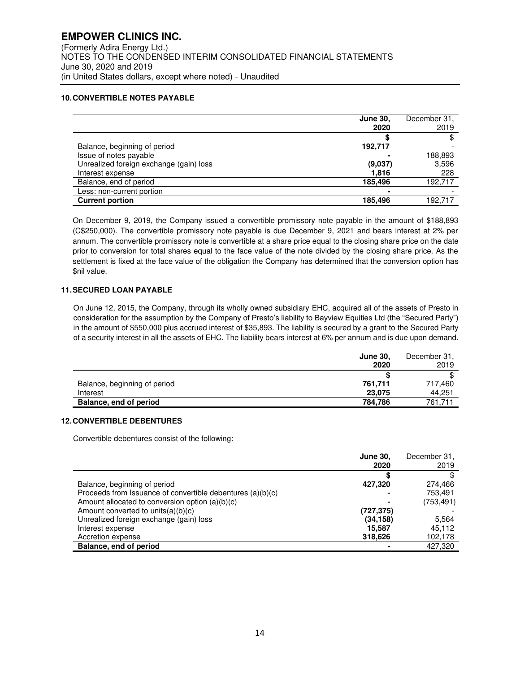# **10. CONVERTIBLE NOTES PAYABLE**

|                                         | <b>June 30,</b><br>2020 | December 31,<br>2019 |
|-----------------------------------------|-------------------------|----------------------|
|                                         |                         |                      |
| Balance, beginning of period            | 192,717                 |                      |
| Issue of notes payable                  |                         | 188,893              |
| Unrealized foreign exchange (gain) loss | (9,037)                 | 3,596                |
| Interest expense                        | 1.816                   | 228                  |
| Balance, end of period                  | 185,496                 | 192,717              |
| Less: non-current portion               |                         |                      |
| <b>Current portion</b>                  | 185,496                 | 192.717              |

On December 9, 2019, the Company issued a convertible promissory note payable in the amount of \$188,893 (C\$250,000). The convertible promissory note payable is due December 9, 2021 and bears interest at 2% per annum. The convertible promissory note is convertible at a share price equal to the closing share price on the date prior to conversion for total shares equal to the face value of the note divided by the closing share price. As the settlement is fixed at the face value of the obligation the Company has determined that the conversion option has \$nil value.

# **11. SECURED LOAN PAYABLE**

On June 12, 2015, the Company, through its wholly owned subsidiary EHC, acquired all of the assets of Presto in consideration for the assumption by the Company of Presto's liability to Bayview Equities Ltd (the "Secured Party") in the amount of \$550,000 plus accrued interest of \$35,893. The liability is secured by a grant to the Secured Party of a security interest in all the assets of EHC. The liability bears interest at 6% per annum and is due upon demand.

|                              | <b>June 30,</b><br>2020 | December 31,<br>2019 |
|------------------------------|-------------------------|----------------------|
|                              |                         |                      |
| Balance, beginning of period | 761,711                 | 717,460              |
| Interest                     | 23.075                  | 44,251               |
| Balance, end of period       | 784.786                 | 761.711              |

# **12. CONVERTIBLE DEBENTURES**

Convertible debentures consist of the following:

|                                                            | <b>June 30,</b> | December 31, |
|------------------------------------------------------------|-----------------|--------------|
|                                                            | 2020            | 2019         |
|                                                            | æ               |              |
| Balance, beginning of period                               | 427,320         | 274,466      |
| Proceeds from Issuance of convertible debentures (a)(b)(c) |                 | 753,491      |
| Amount allocated to conversion option $(a)(b)(c)$          |                 | (753, 491)   |
| Amount converted to units(a)(b)(c)                         | (727,375)       |              |
| Unrealized foreign exchange (gain) loss                    | (34,158)        | 5,564        |
| Interest expense                                           | 15,587          | 45.112       |
| Accretion expense                                          | 318,626         | 102,178      |
| Balance, end of period                                     |                 | 427,320      |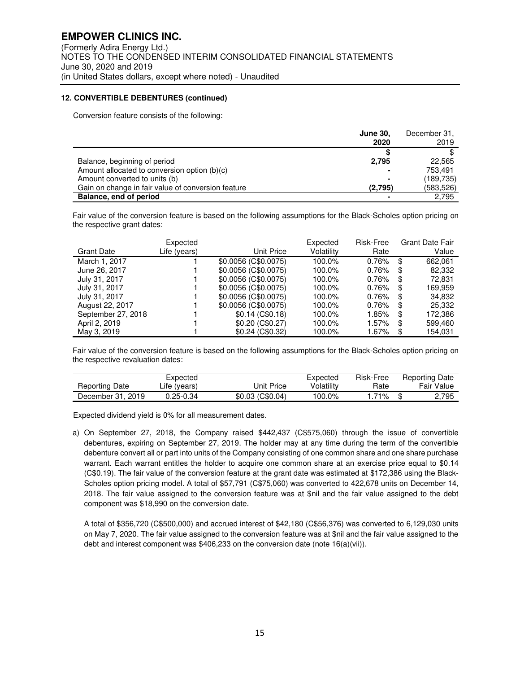#### **12. CONVERTIBLE DEBENTURES (continued)**

Conversion feature consists of the following:

|                                                    | <b>June 30,</b> | December 31, |
|----------------------------------------------------|-----------------|--------------|
|                                                    | 2020            | 2019         |
|                                                    |                 |              |
| Balance, beginning of period                       | 2.795           | 22.565       |
| Amount allocated to conversion option (b)(c)       |                 | 753.491      |
| Amount converted to units (b)                      | -               | (189, 735)   |
| Gain on change in fair value of conversion feature | (2,795)         | (583,526)    |
| Balance, end of period                             |                 | 2.795        |

Fair value of the conversion feature is based on the following assumptions for the Black-Scholes option pricing on the respective grant dates:

| Grant Date         | Expected<br>Life (years) | Unit Price           | Expected<br>Volatility | Risk-Free<br>Rate |    | <b>Grant Date Fair</b><br>Value |
|--------------------|--------------------------|----------------------|------------------------|-------------------|----|---------------------------------|
| March 1, 2017      |                          | \$0.0056 (C\$0.0075) | 100.0%                 | 0.76%             | \$ | 662.061                         |
| June 26, 2017      |                          | \$0.0056 (C\$0.0075) | 100.0%                 | $0.76\%$          | \$ | 82,332                          |
| July 31, 2017      |                          | \$0.0056 (C\$0.0075) | 100.0%                 | 0.76%             | S  | 72,831                          |
| July 31, 2017      |                          | \$0.0056 (C\$0.0075) | 100.0%                 | 0.76%             | S  | 169.959                         |
| July 31, 2017      |                          | \$0.0056 (C\$0.0075) | 100.0%                 | 0.76%             | S  | 34,832                          |
| August 22, 2017    |                          | \$0.0056 (C\$0.0075) | 100.0%                 | 0.76%             | S  | 25,332                          |
| September 27, 2018 |                          | $$0.14$ (C\$0.18)    | 100.0%                 | 1.85%             | S  | 172,386                         |
| April 2, 2019      |                          | \$0.20(C\$0.27)      | 100.0%                 | 1.57%             | S  | 599,460                         |
| May 3, 2019        |                          | \$0.24 (C\$0.32)     | 100.0%                 | 1.67%             | S  | 154.031                         |

Fair value of the conversion feature is based on the following assumptions for the Black-Scholes option pricing on the respective revaluation dates:

|                   | Expected     |                  | Expected   | Risk-Free | <b>Reporting Date</b> |
|-------------------|--------------|------------------|------------|-----------|-----------------------|
| Reporting Date    | Life (years) | Jnit Price       | Volatilitv | Rate      | Fair Value            |
| December 31, 2019 | 0.25-0.34    | \$0.03 (C\$0.04) | 100.0%     | .71%      | 2.795                 |

Expected dividend yield is 0% for all measurement dates.

a) On September 27, 2018, the Company raised \$442,437 (C\$575,060) through the issue of convertible debentures, expiring on September 27, 2019. The holder may at any time during the term of the convertible debenture convert all or part into units of the Company consisting of one common share and one share purchase warrant. Each warrant entitles the holder to acquire one common share at an exercise price equal to \$0.14 (C\$0.19). The fair value of the conversion feature at the grant date was estimated at \$172,386 using the Black-Scholes option pricing model. A total of \$57,791 (C\$75,060) was converted to 422,678 units on December 14, 2018. The fair value assigned to the conversion feature was at \$nil and the fair value assigned to the debt component was \$18,990 on the conversion date.

A total of \$356,720 (C\$500,000) and accrued interest of \$42,180 (C\$56,376) was converted to 6,129,030 units on May 7, 2020. The fair value assigned to the conversion feature was at \$nil and the fair value assigned to the debt and interest component was \$406,233 on the conversion date (note 16(a)(vii)).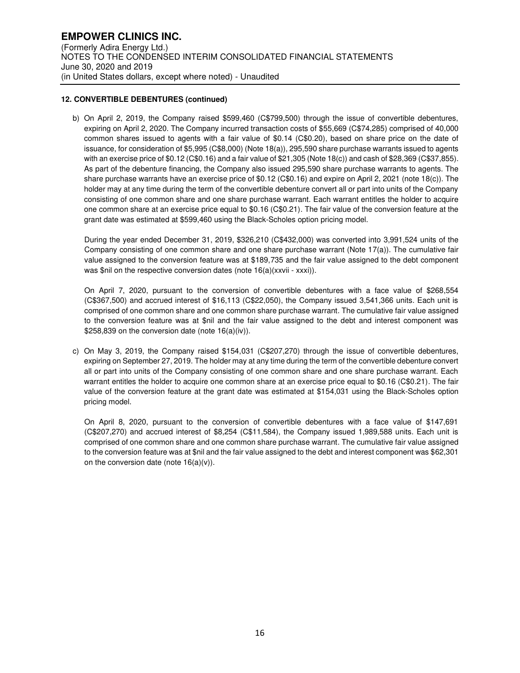# **12. CONVERTIBLE DEBENTURES (continued)**

b) On April 2, 2019, the Company raised \$599,460 (C\$799,500) through the issue of convertible debentures, expiring on April 2, 2020. The Company incurred transaction costs of \$55,669 (C\$74,285) comprised of 40,000 common shares issued to agents with a fair value of \$0.14 (C\$0.20), based on share price on the date of issuance, for consideration of \$5,995 (C\$8,000) (Note 18(a)), 295,590 share purchase warrants issued to agents with an exercise price of \$0.12 (C\$0.16) and a fair value of \$21,305 (Note 18(c)) and cash of \$28,369 (C\$37,855). As part of the debenture financing, the Company also issued 295,590 share purchase warrants to agents. The share purchase warrants have an exercise price of \$0.12 (C\$0.16) and expire on April 2, 2021 (note 18(c)). The holder may at any time during the term of the convertible debenture convert all or part into units of the Company consisting of one common share and one share purchase warrant. Each warrant entitles the holder to acquire one common share at an exercise price equal to \$0.16 (C\$0.21). The fair value of the conversion feature at the grant date was estimated at \$599,460 using the Black-Scholes option pricing model.

During the year ended December 31, 2019, \$326,210 (C\$432,000) was converted into 3,991,524 units of the Company consisting of one common share and one share purchase warrant (Note 17(a)). The cumulative fair value assigned to the conversion feature was at \$189,735 and the fair value assigned to the debt component was \$nil on the respective conversion dates (note 16(a)(xxvii - xxxi)).

On April 7, 2020, pursuant to the conversion of convertible debentures with a face value of \$268,554 (C\$367,500) and accrued interest of \$16,113 (C\$22,050), the Company issued 3,541,366 units. Each unit is comprised of one common share and one common share purchase warrant. The cumulative fair value assigned to the conversion feature was at \$nil and the fair value assigned to the debt and interest component was \$258,839 on the conversion date (note 16(a)(iv)).

c) On May 3, 2019, the Company raised \$154,031 (C\$207,270) through the issue of convertible debentures, expiring on September 27, 2019. The holder may at any time during the term of the convertible debenture convert all or part into units of the Company consisting of one common share and one share purchase warrant. Each warrant entitles the holder to acquire one common share at an exercise price equal to \$0.16 (C\$0.21). The fair value of the conversion feature at the grant date was estimated at \$154,031 using the Black-Scholes option pricing model.

On April 8, 2020, pursuant to the conversion of convertible debentures with a face value of \$147,691 (C\$207,270) and accrued interest of \$8,254 (C\$11,584), the Company issued 1,989,588 units. Each unit is comprised of one common share and one common share purchase warrant. The cumulative fair value assigned to the conversion feature was at \$nil and the fair value assigned to the debt and interest component was \$62,301 on the conversion date (note  $16(a)(v)$ ).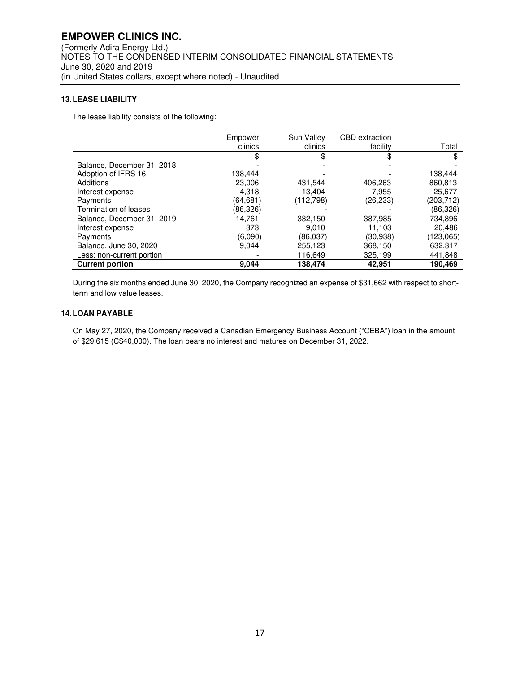# **13. LEASE LIABILITY**

The lease liability consists of the following:

|                            | Empower   | Sun Valley | <b>CBD</b> extraction |            |
|----------------------------|-----------|------------|-----------------------|------------|
|                            | clinics   | clinics    | facility              | Total      |
|                            |           | \$         | \$                    | \$         |
| Balance, December 31, 2018 |           |            |                       |            |
| Adoption of IFRS 16        | 138.444   |            |                       | 138.444    |
| Additions                  | 23,006    | 431,544    | 406,263               | 860,813    |
| Interest expense           | 4.318     | 13.404     | 7.955                 | 25.677     |
| Payments                   | (64, 681) | (112,798)  | (26,233)              | (203, 712) |
| Termination of leases      | (86,326)  |            |                       | (86,326)   |
| Balance, December 31, 2019 | 14,761    | 332,150    | 387,985               | 734,896    |
| Interest expense           | 373       | 9,010      | 11,103                | 20,486     |
| Payments                   | (6.090)   | (86,037)   | (30, 938)             | (123,065)  |
| Balance, June 30, 2020     | 9.044     | 255,123    | 368,150               | 632,317    |
| Less: non-current portion  |           | 116,649    | 325,199               | 441,848    |
| <b>Current portion</b>     | 9,044     | 138,474    | 42,951                | 190.469    |

During the six months ended June 30, 2020, the Company recognized an expense of \$31,662 with respect to shortterm and low value leases.

# **14. LOAN PAYABLE**

On May 27, 2020, the Company received a Canadian Emergency Business Account ("CEBA") loan in the amount of \$29,615 (C\$40,000). The loan bears no interest and matures on December 31, 2022.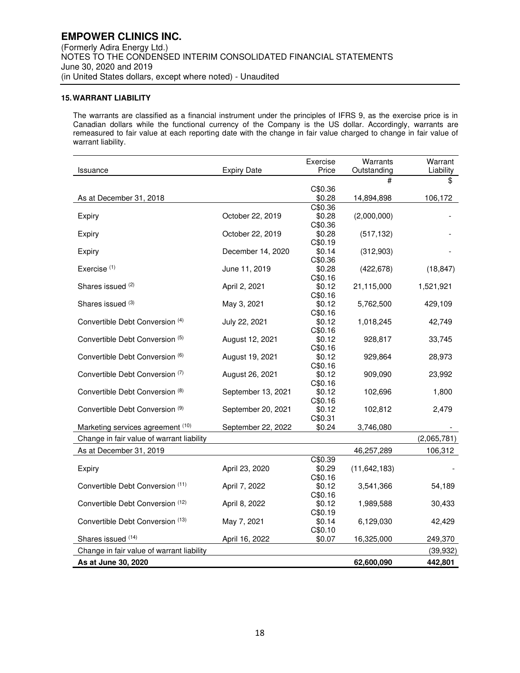# **15. WARRANT LIABILITY**

The warrants are classified as a financial instrument under the principles of IFRS 9, as the exercise price is in Canadian dollars while the functional currency of the Company is the US dollar. Accordingly, warrants are remeasured to fair value at each reporting date with the change in fair value charged to change in fair value of warrant liability.

|                                           |                    | Exercise          | Warrants       | Warrant     |
|-------------------------------------------|--------------------|-------------------|----------------|-------------|
| Issuance                                  | <b>Expiry Date</b> | Price             | Outstanding    | Liability   |
|                                           |                    |                   | #              | \$          |
|                                           |                    | C\$0.36           |                |             |
| As at December 31, 2018                   |                    | \$0.28            | 14,894,898     | 106,172     |
|                                           |                    | C\$0.36           |                |             |
| Expiry                                    | October 22, 2019   | \$0.28            | (2,000,000)    |             |
|                                           | October 22, 2019   | C\$0.36<br>\$0.28 | (517, 132)     |             |
| Expiry                                    |                    | C\$0.19           |                |             |
| Expiry                                    | December 14, 2020  | \$0.14            | (312,903)      |             |
|                                           |                    | C\$0.36           |                |             |
| Exercise <sup>(1)</sup>                   | June 11, 2019      | \$0.28            | (422, 678)     | (18, 847)   |
|                                           |                    | C\$0.16           |                |             |
| Shares issued (2)                         | April 2, 2021      | \$0.12            | 21,115,000     | 1,521,921   |
|                                           |                    | C\$0.16           |                |             |
| Shares issued (3)                         | May 3, 2021        | \$0.12            | 5,762,500      | 429,109     |
|                                           |                    | C\$0.16           |                |             |
| Convertible Debt Conversion (4)           | July 22, 2021      | \$0.12            | 1,018,245      | 42,749      |
|                                           |                    | C\$0.16           |                |             |
| Convertible Debt Conversion (5)           | August 12, 2021    | \$0.12            | 928,817        | 33,745      |
|                                           |                    | C\$0.16           |                |             |
| Convertible Debt Conversion (6)           | August 19, 2021    | \$0.12            | 929,864        | 28,973      |
|                                           |                    | C\$0.16           |                |             |
| Convertible Debt Conversion (7)           | August 26, 2021    | \$0.12            | 909,090        | 23,992      |
|                                           |                    | C\$0.16           |                |             |
| Convertible Debt Conversion (8)           | September 13, 2021 | \$0.12<br>C\$0.16 | 102,696        | 1,800       |
| Convertible Debt Conversion (9)           | September 20, 2021 | \$0.12            | 102,812        | 2,479       |
|                                           |                    | C\$0.31           |                |             |
| Marketing services agreement (10)         | September 22, 2022 | \$0.24            | 3,746,080      |             |
|                                           |                    |                   |                | (2,065,781) |
| Change in fair value of warrant liability |                    |                   |                |             |
| As at December 31, 2019                   |                    |                   | 46,257,289     | 106,312     |
|                                           |                    | C\$0.39           |                |             |
| Expiry                                    | April 23, 2020     | \$0.29            | (11, 642, 183) |             |
| Convertible Debt Conversion (11)          |                    | C\$0.16           |                |             |
|                                           | April 7, 2022      | \$0.12<br>C\$0.16 | 3,541,366      | 54,189      |
| Convertible Debt Conversion (12)          | April 8, 2022      | \$0.12            | 1,989,588      | 30,433      |
|                                           |                    | C\$0.19           |                |             |
| Convertible Debt Conversion (13)          | May 7, 2021        | \$0.14            | 6,129,030      | 42,429      |
|                                           |                    | C\$0.10           |                |             |
| Shares issued (14)                        | April 16, 2022     | \$0.07            | 16,325,000     | 249,370     |
| Change in fair value of warrant liability |                    |                   |                | (39, 932)   |
|                                           |                    |                   |                |             |
| As at June 30, 2020                       |                    |                   | 62,600,090     | 442,801     |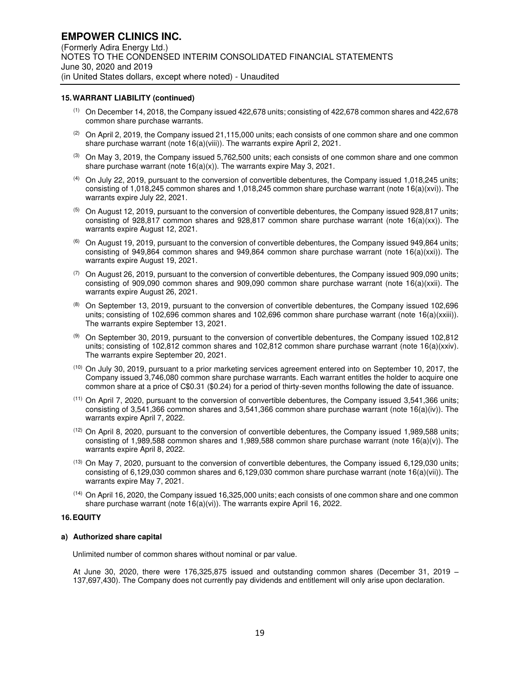#### **15. WARRANT LIABILITY (continued)**

- (1) On December 14, 2018, the Company issued 422,678 units; consisting of 422,678 common shares and 422,678 common share purchase warrants.
- $(2)$  On April 2, 2019, the Company issued 21,115,000 units; each consists of one common share and one common share purchase warrant (note 16(a)(viii)). The warrants expire April 2, 2021.
- $(3)$  On May 3, 2019, the Company issued 5,762,500 units; each consists of one common share and one common share purchase warrant (note  $16(a)(x)$ ). The warrants expire May 3, 2021.
- (4) On July 22, 2019, pursuant to the conversion of convertible debentures, the Company issued 1,018,245 units; consisting of 1,018,245 common shares and 1,018,245 common share purchase warrant (note 16(a)(xvi)). The warrants expire July 22, 2021.
- (5) On August 12, 2019, pursuant to the conversion of convertible debentures, the Company issued 928,817 units; consisting of 928,817 common shares and 928,817 common share purchase warrant (note  $16(a)(xx)$ ). The warrants expire August 12, 2021.
- (6) On August 19, 2019, pursuant to the conversion of convertible debentures, the Company issued 949,864 units; consisting of 949,864 common shares and 949,864 common share purchase warrant (note 16(a)(xxi)). The warrants expire August 19, 2021.
- $(7)$  On August 26, 2019, pursuant to the conversion of convertible debentures, the Company issued 909,090 units; consisting of 909,090 common shares and 909,090 common share purchase warrant (note 16(a)(xxii). The warrants expire August 26, 2021.
- $(8)$  On September 13, 2019, pursuant to the conversion of convertible debentures, the Company issued 102,696 units; consisting of 102,696 common shares and 102,696 common share purchase warrant (note 16(a)(xxiii)). The warrants expire September 13, 2021.
- (9) On September 30, 2019, pursuant to the conversion of convertible debentures, the Company issued 102,812 units; consisting of 102,812 common shares and 102,812 common share purchase warrant (note 16(a)(xxiv). The warrants expire September 20, 2021.
- (10) On July 30, 2019, pursuant to a prior marketing services agreement entered into on September 10, 2017, the Company issued 3,746,080 common share purchase warrants. Each warrant entitles the holder to acquire one common share at a price of C\$0.31 (\$0.24) for a period of thirty-seven months following the date of issuance.
- (11) On April 7, 2020, pursuant to the conversion of convertible debentures, the Company issued 3,541,366 units; consisting of 3,541,366 common shares and 3,541,366 common share purchase warrant (note 16(a)(iv)). The warrants expire April 7, 2022.
- (12) On April 8, 2020, pursuant to the conversion of convertible debentures, the Company issued 1,989,588 units; consisting of 1,989,588 common shares and 1,989,588 common share purchase warrant (note 16(a)(v)). The warrants expire April 8, 2022.
- (13) On May 7, 2020, pursuant to the conversion of convertible debentures, the Company issued 6,129,030 units; consisting of 6,129,030 common shares and 6,129,030 common share purchase warrant (note 16(a)(vii)). The warrants expire May 7, 2021.
- (14) On April 16, 2020, the Company issued 16,325,000 units; each consists of one common share and one common share purchase warrant (note 16(a)(vi)). The warrants expire April 16, 2022.

#### **16. EQUITY**

#### **a) Authorized share capital**

Unlimited number of common shares without nominal or par value.

At June 30, 2020, there were 176,325,875 issued and outstanding common shares (December 31, 2019 – 137,697,430). The Company does not currently pay dividends and entitlement will only arise upon declaration.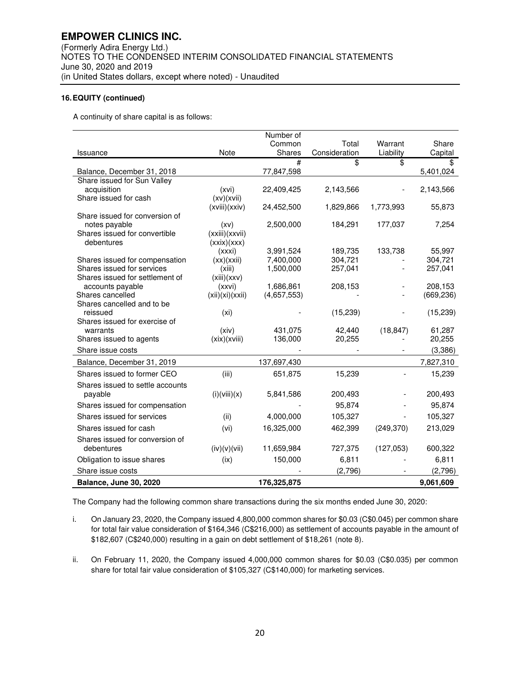A continuity of share capital is as follows:

|                                      |                             | Number of   |               |            |                       |
|--------------------------------------|-----------------------------|-------------|---------------|------------|-----------------------|
|                                      |                             | Common      | Total         | Warrant    | Share                 |
| Issuance                             | Note                        | Shares      | Consideration | Liability  | Capital               |
|                                      |                             | #           | \$            | \$         | \$                    |
| Balance, December 31, 2018           |                             | 77,847,598  |               |            | 5,401,024             |
| Share issued for Sun Valley          |                             |             |               |            |                       |
| acquisition                          | (xvi)                       | 22,409,425  | 2,143,566     |            | 2,143,566             |
| Share issued for cash                | (xy)(xvii)<br>(xviii)(xxiv) | 24,452,500  | 1,829,866     | 1,773,993  | 55,873                |
| Share issued for conversion of       |                             |             |               |            |                       |
| notes payable                        | (xv)                        | 2,500,000   | 184,291       | 177,037    | 7,254                 |
| Shares issued for convertible        | (xxiii)(xxvii)              |             |               |            |                       |
| debentures                           | (xx)(xxx)                   |             |               |            |                       |
|                                      | (xxxi)                      | 3,991,524   | 189,735       | 133,738    | 55,997                |
| Shares issued for compensation       | (xx)(xxii)                  | 7,400,000   | 304,721       |            | 304,721               |
| Shares issued for services           | (xiii)                      | 1,500,000   | 257,041       |            | 257,041               |
| Shares issued for settlement of      | (xiii)(xxx)                 |             |               |            |                       |
| accounts payable<br>Shares cancelled | (xxvi)                      | 1,686,861   | 208,153       |            | 208,153<br>(669, 236) |
| Shares cancelled and to be           | (xii)(xi)(xxii)             | (4,657,553) |               |            |                       |
| reissued                             | (xi)                        |             | (15, 239)     |            | (15, 239)             |
| Shares issued for exercise of        |                             |             |               |            |                       |
| warrants                             | (xiv)                       | 431,075     | 42,440        | (18, 847)  | 61,287                |
| Shares issued to agents              | (xix)(xviii)                | 136,000     | 20,255        |            | 20,255                |
| Share issue costs                    |                             |             |               |            | (3,386)               |
| Balance, December 31, 2019           |                             | 137,697,430 |               |            | 7,827,310             |
| Shares issued to former CEO          | (iii)                       | 651,875     | 15,239        |            | 15,239                |
| Shares issued to settle accounts     |                             |             |               |            |                       |
| payable                              | (i)(viii)(x)                | 5,841,586   | 200,493       |            | 200,493               |
| Shares issued for compensation       |                             |             | 95,874        |            | 95,874                |
| Shares issued for services           | (ii)                        | 4,000,000   | 105,327       |            | 105,327               |
| Shares issued for cash               | (vi)                        | 16,325,000  | 462,399       | (249, 370) | 213,029               |
| Shares issued for conversion of      |                             |             |               |            |                       |
| debentures                           | (iv)(v)(vii)                | 11,659,984  | 727,375       | (127,053)  | 600,322               |
| Obligation to issue shares           | (ix)                        | 150,000     | 6,811         |            | 6,811                 |
| Share issue costs                    |                             |             | (2,796)       |            | (2,796)               |
| <b>Balance, June 30, 2020</b>        |                             | 176,325,875 |               |            | 9,061,609             |

The Company had the following common share transactions during the six months ended June 30, 2020:

- i. On January 23, 2020, the Company issued 4,800,000 common shares for \$0.03 (C\$0.045) per common share for total fair value consideration of \$164,346 (C\$216,000) as settlement of accounts payable in the amount of \$182,607 (C\$240,000) resulting in a gain on debt settlement of \$18,261 (note 8).
- ii. On February 11, 2020, the Company issued 4,000,000 common shares for \$0.03 (C\$0.035) per common share for total fair value consideration of \$105,327 (C\$140,000) for marketing services.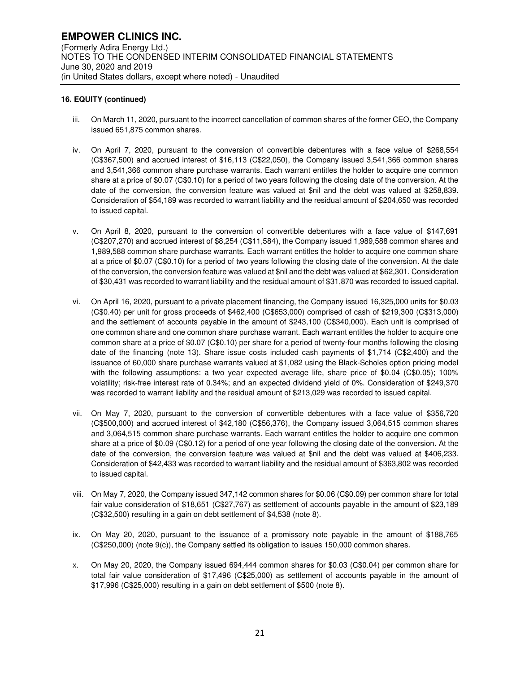- iii. On March 11, 2020, pursuant to the incorrect cancellation of common shares of the former CEO, the Company issued 651,875 common shares.
- iv. On April 7, 2020, pursuant to the conversion of convertible debentures with a face value of \$268,554 (C\$367,500) and accrued interest of \$16,113 (C\$22,050), the Company issued 3,541,366 common shares and 3,541,366 common share purchase warrants. Each warrant entitles the holder to acquire one common share at a price of \$0.07 (C\$0.10) for a period of two years following the closing date of the conversion. At the date of the conversion, the conversion feature was valued at \$nil and the debt was valued at \$258,839. Consideration of \$54,189 was recorded to warrant liability and the residual amount of \$204,650 was recorded to issued capital.
- v. On April 8, 2020, pursuant to the conversion of convertible debentures with a face value of \$147,691 (C\$207,270) and accrued interest of \$8,254 (C\$11,584), the Company issued 1,989,588 common shares and 1,989,588 common share purchase warrants. Each warrant entitles the holder to acquire one common share at a price of \$0.07 (C\$0.10) for a period of two years following the closing date of the conversion. At the date of the conversion, the conversion feature was valued at \$nil and the debt was valued at \$62,301. Consideration of \$30,431 was recorded to warrant liability and the residual amount of \$31,870 was recorded to issued capital.
- vi. On April 16, 2020, pursuant to a private placement financing, the Company issued 16,325,000 units for \$0.03 (C\$0.40) per unit for gross proceeds of \$462,400 (C\$653,000) comprised of cash of \$219,300 (C\$313,000) and the settlement of accounts payable in the amount of \$243,100 (C\$340,000). Each unit is comprised of one common share and one common share purchase warrant. Each warrant entitles the holder to acquire one common share at a price of \$0.07 (C\$0.10) per share for a period of twenty-four months following the closing date of the financing (note 13). Share issue costs included cash payments of \$1,714 (C\$2,400) and the issuance of 60,000 share purchase warrants valued at \$1,082 using the Black-Scholes option pricing model with the following assumptions: a two year expected average life, share price of \$0.04 (C\$0.05); 100% volatility; risk-free interest rate of 0.34%; and an expected dividend yield of 0%. Consideration of \$249,370 was recorded to warrant liability and the residual amount of \$213,029 was recorded to issued capital.
- vii. On May 7, 2020, pursuant to the conversion of convertible debentures with a face value of \$356,720 (C\$500,000) and accrued interest of \$42,180 (C\$56,376), the Company issued 3,064,515 common shares and 3,064,515 common share purchase warrants. Each warrant entitles the holder to acquire one common share at a price of \$0.09 (C\$0.12) for a period of one year following the closing date of the conversion. At the date of the conversion, the conversion feature was valued at \$nil and the debt was valued at \$406,233. Consideration of \$42,433 was recorded to warrant liability and the residual amount of \$363,802 was recorded to issued capital.
- viii. On May 7, 2020, the Company issued 347,142 common shares for \$0.06 (C\$0.09) per common share for total fair value consideration of \$18,651 (C\$27,767) as settlement of accounts payable in the amount of \$23,189 (C\$32,500) resulting in a gain on debt settlement of \$4,538 (note 8).
- ix. On May 20, 2020, pursuant to the issuance of a promissory note payable in the amount of \$188,765 (C\$250,000) (note 9(c)), the Company settled its obligation to issues 150,000 common shares.
- x. On May 20, 2020, the Company issued 694,444 common shares for \$0.03 (C\$0.04) per common share for total fair value consideration of \$17,496 (C\$25,000) as settlement of accounts payable in the amount of \$17,996 (C\$25,000) resulting in a gain on debt settlement of \$500 (note 8).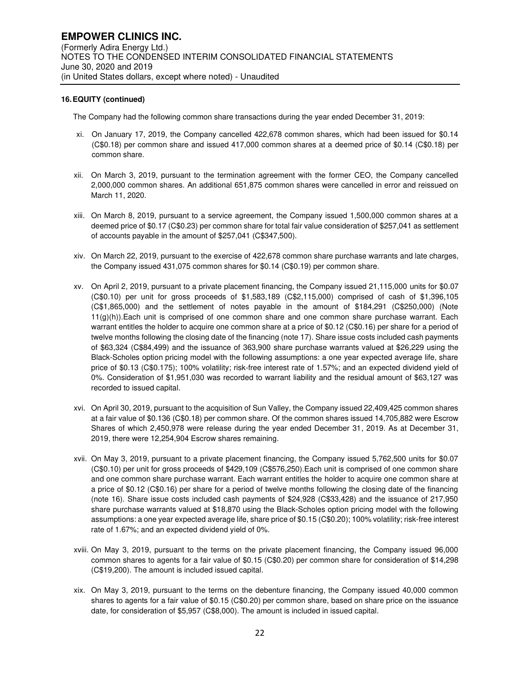The Company had the following common share transactions during the year ended December 31, 2019:

- xi. On January 17, 2019, the Company cancelled 422,678 common shares, which had been issued for \$0.14 (C\$0.18) per common share and issued 417,000 common shares at a deemed price of \$0.14 (C\$0.18) per common share.
- xii. On March 3, 2019, pursuant to the termination agreement with the former CEO, the Company cancelled 2,000,000 common shares. An additional 651,875 common shares were cancelled in error and reissued on March 11, 2020.
- xiii. On March 8, 2019, pursuant to a service agreement, the Company issued 1,500,000 common shares at a deemed price of \$0.17 (C\$0.23) per common share for total fair value consideration of \$257,041 as settlement of accounts payable in the amount of \$257,041 (C\$347,500).
- xiv. On March 22, 2019, pursuant to the exercise of 422,678 common share purchase warrants and late charges, the Company issued 431,075 common shares for \$0.14 (C\$0.19) per common share.
- xv. On April 2, 2019, pursuant to a private placement financing, the Company issued 21,115,000 units for \$0.07 (C\$0.10) per unit for gross proceeds of \$1,583,189 (C\$2,115,000) comprised of cash of \$1,396,105 (C\$1,865,000) and the settlement of notes payable in the amount of \$184,291 (C\$250,000) (Note 11(g)(h)).Each unit is comprised of one common share and one common share purchase warrant. Each warrant entitles the holder to acquire one common share at a price of \$0.12 (C\$0.16) per share for a period of twelve months following the closing date of the financing (note 17). Share issue costs included cash payments of \$63,324 (C\$84,499) and the issuance of 363,900 share purchase warrants valued at \$26,229 using the Black-Scholes option pricing model with the following assumptions: a one year expected average life, share price of \$0.13 (C\$0.175); 100% volatility; risk-free interest rate of 1.57%; and an expected dividend yield of 0%. Consideration of \$1,951,030 was recorded to warrant liability and the residual amount of \$63,127 was recorded to issued capital.
- xvi. On April 30, 2019, pursuant to the acquisition of Sun Valley, the Company issued 22,409,425 common shares at a fair value of \$0.136 (C\$0.18) per common share. Of the common shares issued 14,705,882 were Escrow Shares of which 2,450,978 were release during the year ended December 31, 2019. As at December 31, 2019, there were 12,254,904 Escrow shares remaining.
- xvii. On May 3, 2019, pursuant to a private placement financing, the Company issued 5,762,500 units for \$0.07 (C\$0.10) per unit for gross proceeds of \$429,109 (C\$576,250).Each unit is comprised of one common share and one common share purchase warrant. Each warrant entitles the holder to acquire one common share at a price of \$0.12 (C\$0.16) per share for a period of twelve months following the closing date of the financing (note 16). Share issue costs included cash payments of \$24,928 (C\$33,428) and the issuance of 217,950 share purchase warrants valued at \$18,870 using the Black-Scholes option pricing model with the following assumptions: a one year expected average life, share price of \$0.15 (C\$0.20); 100% volatility; risk-free interest rate of 1.67%; and an expected dividend yield of 0%.
- xviii. On May 3, 2019, pursuant to the terms on the private placement financing, the Company issued 96,000 common shares to agents for a fair value of \$0.15 (C\$0.20) per common share for consideration of \$14,298 (C\$19,200). The amount is included issued capital.
- xix. On May 3, 2019, pursuant to the terms on the debenture financing, the Company issued 40,000 common shares to agents for a fair value of \$0.15 (C\$0.20) per common share, based on share price on the issuance date, for consideration of \$5,957 (C\$8,000). The amount is included in issued capital.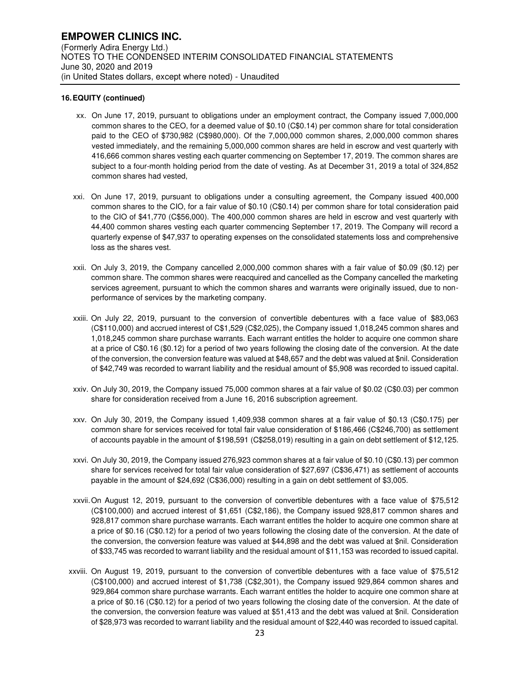- xx. On June 17, 2019, pursuant to obligations under an employment contract, the Company issued 7,000,000 common shares to the CEO, for a deemed value of \$0.10 (C\$0.14) per common share for total consideration paid to the CEO of \$730,982 (C\$980,000). Of the 7,000,000 common shares, 2,000,000 common shares vested immediately, and the remaining 5,000,000 common shares are held in escrow and vest quarterly with 416,666 common shares vesting each quarter commencing on September 17, 2019. The common shares are subject to a four-month holding period from the date of vesting. As at December 31, 2019 a total of 324,852 common shares had vested,
- xxi. On June 17, 2019, pursuant to obligations under a consulting agreement, the Company issued 400,000 common shares to the CIO, for a fair value of \$0.10 (C\$0.14) per common share for total consideration paid to the CIO of \$41,770 (C\$56,000). The 400,000 common shares are held in escrow and vest quarterly with 44,400 common shares vesting each quarter commencing September 17, 2019. The Company will record a quarterly expense of \$47,937 to operating expenses on the consolidated statements loss and comprehensive loss as the shares vest.
- xxii. On July 3, 2019, the Company cancelled 2,000,000 common shares with a fair value of \$0.09 (\$0.12) per common share. The common shares were reacquired and cancelled as the Company cancelled the marketing services agreement, pursuant to which the common shares and warrants were originally issued, due to nonperformance of services by the marketing company.
- xxiii. On July 22, 2019, pursuant to the conversion of convertible debentures with a face value of \$83,063 (C\$110,000) and accrued interest of C\$1,529 (C\$2,025), the Company issued 1,018,245 common shares and 1,018,245 common share purchase warrants. Each warrant entitles the holder to acquire one common share at a price of C\$0.16 (\$0.12) for a period of two years following the closing date of the conversion. At the date of the conversion, the conversion feature was valued at \$48,657 and the debt was valued at \$nil. Consideration of \$42,749 was recorded to warrant liability and the residual amount of \$5,908 was recorded to issued capital.
- xxiv. On July 30, 2019, the Company issued 75,000 common shares at a fair value of \$0.02 (C\$0.03) per common share for consideration received from a June 16, 2016 subscription agreement.
- xxv. On July 30, 2019, the Company issued 1,409,938 common shares at a fair value of \$0.13 (C\$0.175) per common share for services received for total fair value consideration of \$186,466 (C\$246,700) as settlement of accounts payable in the amount of \$198,591 (C\$258,019) resulting in a gain on debt settlement of \$12,125.
- xxvi. On July 30, 2019, the Company issued 276,923 common shares at a fair value of \$0.10 (C\$0.13) per common share for services received for total fair value consideration of \$27,697 (C\$36,471) as settlement of accounts payable in the amount of \$24,692 (C\$36,000) resulting in a gain on debt settlement of \$3,005.
- xxvii. On August 12, 2019, pursuant to the conversion of convertible debentures with a face value of \$75,512 (C\$100,000) and accrued interest of \$1,651 (C\$2,186), the Company issued 928,817 common shares and 928,817 common share purchase warrants. Each warrant entitles the holder to acquire one common share at a price of \$0.16 (C\$0.12) for a period of two years following the closing date of the conversion. At the date of the conversion, the conversion feature was valued at \$44,898 and the debt was valued at \$nil. Consideration of \$33,745 was recorded to warrant liability and the residual amount of \$11,153 was recorded to issued capital.
- xxviii. On August 19, 2019, pursuant to the conversion of convertible debentures with a face value of \$75,512 (C\$100,000) and accrued interest of \$1,738 (C\$2,301), the Company issued 929,864 common shares and 929,864 common share purchase warrants. Each warrant entitles the holder to acquire one common share at a price of \$0.16 (C\$0.12) for a period of two years following the closing date of the conversion. At the date of the conversion, the conversion feature was valued at \$51,413 and the debt was valued at \$nil. Consideration of \$28,973 was recorded to warrant liability and the residual amount of \$22,440 was recorded to issued capital.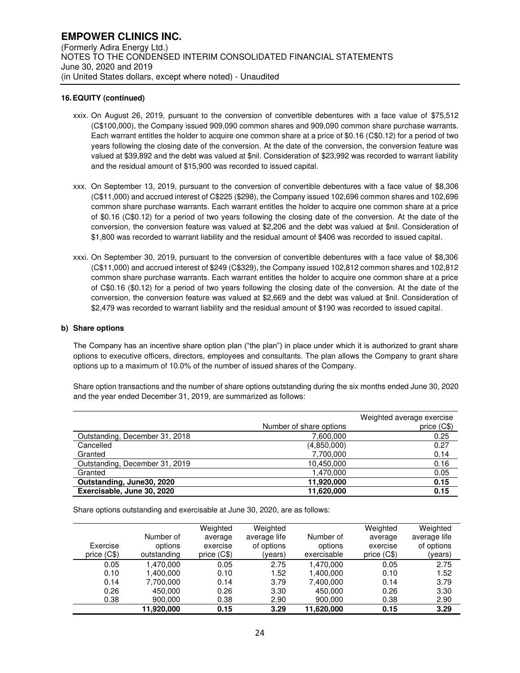- xxix. On August 26, 2019, pursuant to the conversion of convertible debentures with a face value of \$75,512 (C\$100,000), the Company issued 909,090 common shares and 909,090 common share purchase warrants. Each warrant entitles the holder to acquire one common share at a price of \$0.16 (C\$0.12) for a period of two years following the closing date of the conversion. At the date of the conversion, the conversion feature was valued at \$39,892 and the debt was valued at \$nil. Consideration of \$23,992 was recorded to warrant liability and the residual amount of \$15,900 was recorded to issued capital.
- xxx. On September 13, 2019, pursuant to the conversion of convertible debentures with a face value of \$8,306 (C\$11,000) and accrued interest of C\$225 (\$298), the Company issued 102,696 common shares and 102,696 common share purchase warrants. Each warrant entitles the holder to acquire one common share at a price of \$0.16 (C\$0.12) for a period of two years following the closing date of the conversion. At the date of the conversion, the conversion feature was valued at \$2,206 and the debt was valued at \$nil. Consideration of \$1,800 was recorded to warrant liability and the residual amount of \$406 was recorded to issued capital.
- xxxi. On September 30, 2019, pursuant to the conversion of convertible debentures with a face value of \$8,306 (C\$11,000) and accrued interest of \$249 (C\$329), the Company issued 102,812 common shares and 102,812 common share purchase warrants. Each warrant entitles the holder to acquire one common share at a price of C\$0.16 (\$0.12) for a period of two years following the closing date of the conversion. At the date of the conversion, the conversion feature was valued at \$2,669 and the debt was valued at \$nil. Consideration of \$2,479 was recorded to warrant liability and the residual amount of \$190 was recorded to issued capital.

#### **b) Share options**

The Company has an incentive share option plan ("the plan") in place under which it is authorized to grant share options to executive officers, directors, employees and consultants. The plan allows the Company to grant share options up to a maximum of 10.0% of the number of issued shares of the Company.

Share option transactions and the number of share options outstanding during the six months ended June 30, 2020 and the year ended December 31, 2019, are summarized as follows:

|                                | Number of share options | Weighted average exercise<br>price (C\$) |
|--------------------------------|-------------------------|------------------------------------------|
| Outstanding, December 31, 2018 | 7,600,000               | 0.25                                     |
| Cancelled                      | (4,850,000)             | 0.27                                     |
| Granted                        | 7,700,000               | 0.14                                     |
| Outstanding, December 31, 2019 | 10,450,000              | 0.16                                     |
| Granted                        | 1,470,000               | 0.05                                     |
| Outstanding, June30, 2020      | 11,920,000              | 0.15                                     |
| Exercisable, June 30, 2020     | 11,620,000              | 0.15                                     |

Share options outstanding and exercisable at June 30, 2020, are as follows:

| Exercise<br>price $(C$)$ | Number of<br>options<br>outstanding | Weighted<br>average<br>exercise<br>price $(C$)$ | Weighted<br>average life<br>of options<br>(years) | Number of<br>options<br>exercisable | Weighted<br>average<br>exercise<br>price $(C$)$ | Weighted<br>average life<br>of options<br>(years) |
|--------------------------|-------------------------------------|-------------------------------------------------|---------------------------------------------------|-------------------------------------|-------------------------------------------------|---------------------------------------------------|
| 0.05                     | 1.470.000                           | 0.05                                            | 2.75                                              | 1.470.000                           | 0.05                                            | 2.75                                              |
| 0.10                     | 1.400.000                           | 0.10                                            | 1.52                                              | 1.400.000                           | 0.10                                            | 1.52                                              |
| 0.14                     | 7,700,000                           | 0.14                                            | 3.79                                              | 7.400.000                           | 0.14                                            | 3.79                                              |
| 0.26                     | 450.000                             | 0.26                                            | 3.30                                              | 450.000                             | 0.26                                            | 3.30                                              |
| 0.38                     | 900,000                             | 0.38                                            | 2.90                                              | 900,000                             | 0.38                                            | 2.90                                              |
|                          | 11.920.000                          | 0.15                                            | 3.29                                              | 11.620.000                          | 0.15                                            | 3.29                                              |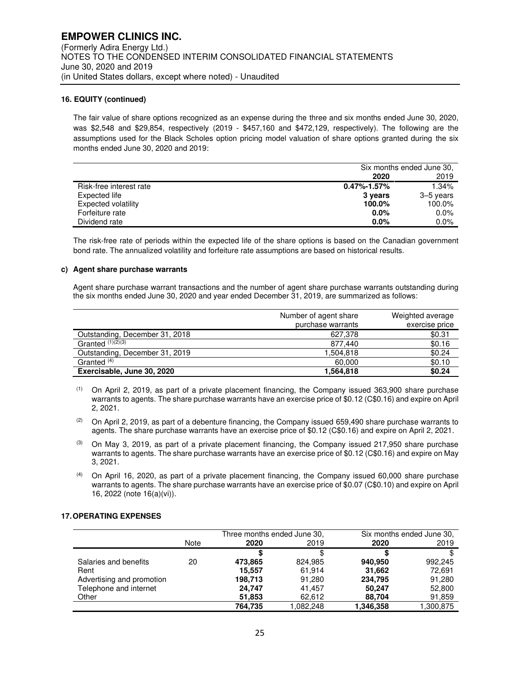The fair value of share options recognized as an expense during the three and six months ended June 30, 2020, was \$2,548 and \$29,854, respectively (2019 - \$457,160 and \$472,129, respectively). The following are the assumptions used for the Black Scholes option pricing model valuation of share options granted during the six months ended June 30, 2020 and 2019:

|                            | Six months ended June 30, |           |
|----------------------------|---------------------------|-----------|
|                            | 2020                      | 2019      |
| Risk-free interest rate    | $0.47\% - 1.57\%$         | 1.34%     |
| Expected life              | 3 years                   | 3–5 years |
| <b>Expected volatility</b> | 100.0%                    | 100.0%    |
| Forfeiture rate            | $0.0\%$                   | 0.0%      |
| Dividend rate              | $0.0\%$                   | 0.0%      |

The risk-free rate of periods within the expected life of the share options is based on the Canadian government bond rate. The annualized volatility and forfeiture rate assumptions are based on historical results.

#### **c) Agent share purchase warrants**

Agent share purchase warrant transactions and the number of agent share purchase warrants outstanding during the six months ended June 30, 2020 and year ended December 31, 2019, are summarized as follows:

|                                | Number of agent share | Weighted average |
|--------------------------------|-----------------------|------------------|
|                                | purchase warrants     | exercise price   |
| Outstanding, December 31, 2018 | 627.378               | \$0.31           |
| Granted $(1)(2)$ $(3)$         | 877.440               | \$0.16           |
| Outstanding, December 31, 2019 | 1.504.818             | \$0.24           |
| Granted <sup>(4)</sup>         | 60.000                | \$0.10           |
| Exercisable, June 30, 2020     | 1,564,818             | \$0.24           |

 $(1)$  On April 2, 2019, as part of a private placement financing, the Company issued 363,900 share purchase warrants to agents. The share purchase warrants have an exercise price of \$0.12 (C\$0.16) and expire on April 2, 2021.

- $(3)$  On May 3, 2019, as part of a private placement financing, the Company issued 217,950 share purchase warrants to agents. The share purchase warrants have an exercise price of \$0.12 (C\$0.16) and expire on May 3, 2021.
- $(4)$  On April 16, 2020, as part of a private placement financing, the Company issued 60,000 share purchase warrants to agents. The share purchase warrants have an exercise price of \$0.07 (C\$0.10) and expire on April 16, 2022 (note 16(a)(vi)).

#### **17. OPERATING EXPENSES**

|                           | Three months ended June 30. |         |           | Six months ended June 30, |          |
|---------------------------|-----------------------------|---------|-----------|---------------------------|----------|
|                           | Note                        | 2020    | 2019      | 2020                      | 2019     |
|                           |                             |         | S         |                           |          |
| Salaries and benefits     | 20                          | 473,865 | 824.985   | 940.950                   | 992.245  |
| Rent                      |                             | 15,557  | 61,914    | 31,662                    | 72,691   |
| Advertising and promotion |                             | 198,713 | 91,280    | 234,795                   | 91,280   |
| Telephone and internet    |                             | 24.747  | 41.457    | 50.247                    | 52,800   |
| Other                     |                             | 51,853  | 62,612    | 88,704                    | 91,859   |
|                           |                             | 764.735 | 1.082.248 | 1,346,358                 | ,300,875 |

<sup>(2)</sup> On April 2, 2019, as part of a debenture financing, the Company issued 659,490 share purchase warrants to agents. The share purchase warrants have an exercise price of \$0.12 (C\$0.16) and expire on April 2, 2021.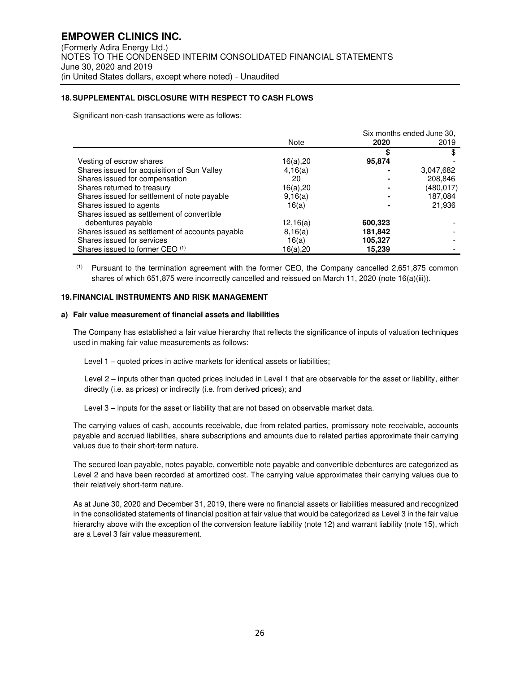# **18. SUPPLEMENTAL DISCLOSURE WITH RESPECT TO CASH FLOWS**

Significant non-cash transactions were as follows:

|                                                 |          |         | Six months ended June 30, |  |
|-------------------------------------------------|----------|---------|---------------------------|--|
|                                                 | Note     | 2020    | 2019                      |  |
|                                                 |          | S       |                           |  |
| Vesting of escrow shares                        | 16(a),20 | 95,874  |                           |  |
| Shares issued for acquisition of Sun Valley     | 4,16(a)  |         | 3,047,682                 |  |
| Shares issued for compensation                  | 20       |         | 208,846                   |  |
| Shares returned to treasury                     | 16(a),20 |         | (480,017)                 |  |
| Shares issued for settlement of note payable    | 9,16(a)  |         | 187,084                   |  |
| Shares issued to agents                         | 16(a)    |         | 21,936                    |  |
| Shares issued as settlement of convertible      |          |         |                           |  |
| debentures payable                              | 12,16(a) | 600,323 |                           |  |
| Shares issued as settlement of accounts payable | 8,16(a)  | 181,842 |                           |  |
| Shares issued for services                      | 16(a)    | 105,327 |                           |  |
| Shares issued to former CEO (1)                 | 16(a),20 | 15,239  |                           |  |

 $<sup>(1)</sup>$  Pursuant to the termination agreement with the former CEO, the Company cancelled 2,651,875 common</sup> shares of which 651,875 were incorrectly cancelled and reissued on March 11, 2020 (note 16(a)(iii)).

# **19. FINANCIAL INSTRUMENTS AND RISK MANAGEMENT**

#### **a) Fair value measurement of financial assets and liabilities**

The Company has established a fair value hierarchy that reflects the significance of inputs of valuation techniques used in making fair value measurements as follows:

Level 1 – quoted prices in active markets for identical assets or liabilities;

Level 2 – inputs other than quoted prices included in Level 1 that are observable for the asset or liability, either directly (i.e. as prices) or indirectly (i.e. from derived prices); and

Level 3 – inputs for the asset or liability that are not based on observable market data.

The carrying values of cash, accounts receivable, due from related parties, promissory note receivable, accounts payable and accrued liabilities, share subscriptions and amounts due to related parties approximate their carrying values due to their short-term nature.

The secured loan payable, notes payable, convertible note payable and convertible debentures are categorized as Level 2 and have been recorded at amortized cost. The carrying value approximates their carrying values due to their relatively short-term nature.

As at June 30, 2020 and December 31, 2019, there were no financial assets or liabilities measured and recognized in the consolidated statements of financial position at fair value that would be categorized as Level 3 in the fair value hierarchy above with the exception of the conversion feature liability (note 12) and warrant liability (note 15), which are a Level 3 fair value measurement.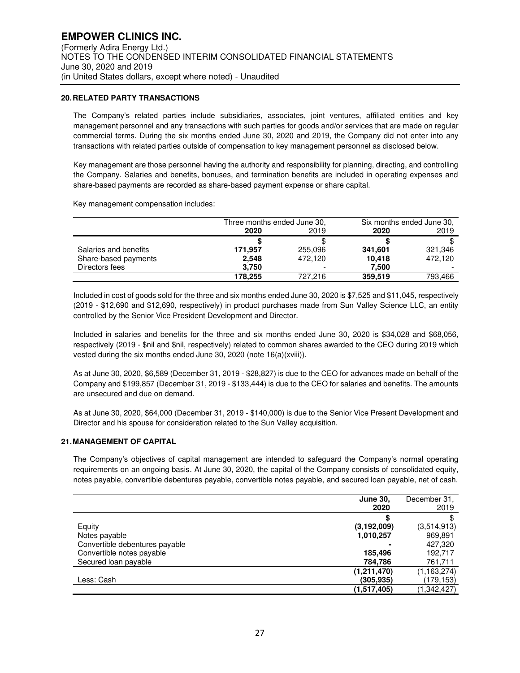# **20. RELATED PARTY TRANSACTIONS**

The Company's related parties include subsidiaries, associates, joint ventures, affiliated entities and key management personnel and any transactions with such parties for goods and/or services that are made on regular commercial terms. During the six months ended June 30, 2020 and 2019, the Company did not enter into any transactions with related parties outside of compensation to key management personnel as disclosed below.

Key management are those personnel having the authority and responsibility for planning, directing, and controlling the Company. Salaries and benefits, bonuses, and termination benefits are included in operating expenses and share-based payments are recorded as share-based payment expense or share capital.

Key management compensation includes:

|                       | Three months ended June 30, |         | Six months ended June 30, |         |
|-----------------------|-----------------------------|---------|---------------------------|---------|
|                       | 2020                        | 2019    | 2020                      | 2019    |
|                       |                             |         |                           |         |
| Salaries and benefits | 171,957                     | 255,096 | 341,601                   | 321,346 |
| Share-based payments  | 2,548                       | 472.120 | 10.418                    | 472.120 |
| Directors fees        | 3,750                       |         | 7,500                     |         |
|                       | 178.255                     | 727.216 | 359.519                   | 793,466 |

Included in cost of goods sold for the three and six months ended June 30, 2020 is \$7,525 and \$11,045, respectively (2019 - \$12,690 and \$12,690, respectively) in product purchases made from Sun Valley Science LLC, an entity controlled by the Senior Vice President Development and Director.

Included in salaries and benefits for the three and six months ended June 30, 2020 is \$34,028 and \$68,056, respectively (2019 - \$nil and \$nil, respectively) related to common shares awarded to the CEO during 2019 which vested during the six months ended June 30, 2020 (note 16(a)(xviii)).

As at June 30, 2020, \$6,589 (December 31, 2019 - \$28,827) is due to the CEO for advances made on behalf of the Company and \$199,857 (December 31, 2019 - \$133,444) is due to the CEO for salaries and benefits. The amounts are unsecured and due on demand.

As at June 30, 2020, \$64,000 (December 31, 2019 - \$140,000) is due to the Senior Vice Present Development and Director and his spouse for consideration related to the Sun Valley acquisition.

# **21. MANAGEMENT OF CAPITAL**

The Company's objectives of capital management are intended to safeguard the Company's normal operating requirements on an ongoing basis. At June 30, 2020, the capital of the Company consists of consolidated equity, notes payable, convertible debentures payable, convertible notes payable, and secured loan payable, net of cash.

|                                | June 30,<br>2020 | December 31,<br>2019 |
|--------------------------------|------------------|----------------------|
|                                |                  |                      |
| Equity                         | (3, 192, 009)    | (3,514,913)          |
| Notes payable                  | 1,010,257        | 969,891              |
| Convertible debentures payable |                  | 427,320              |
| Convertible notes payable      | 185,496          | 192,717              |
| Secured loan payable           | 784,786          | 761,711              |
|                                | (1,211,470)      | (1, 163, 274)        |
| Less: Cash                     | (305.935)        | (179,153)            |
|                                | (1,517,405)      | (1,342,427)          |